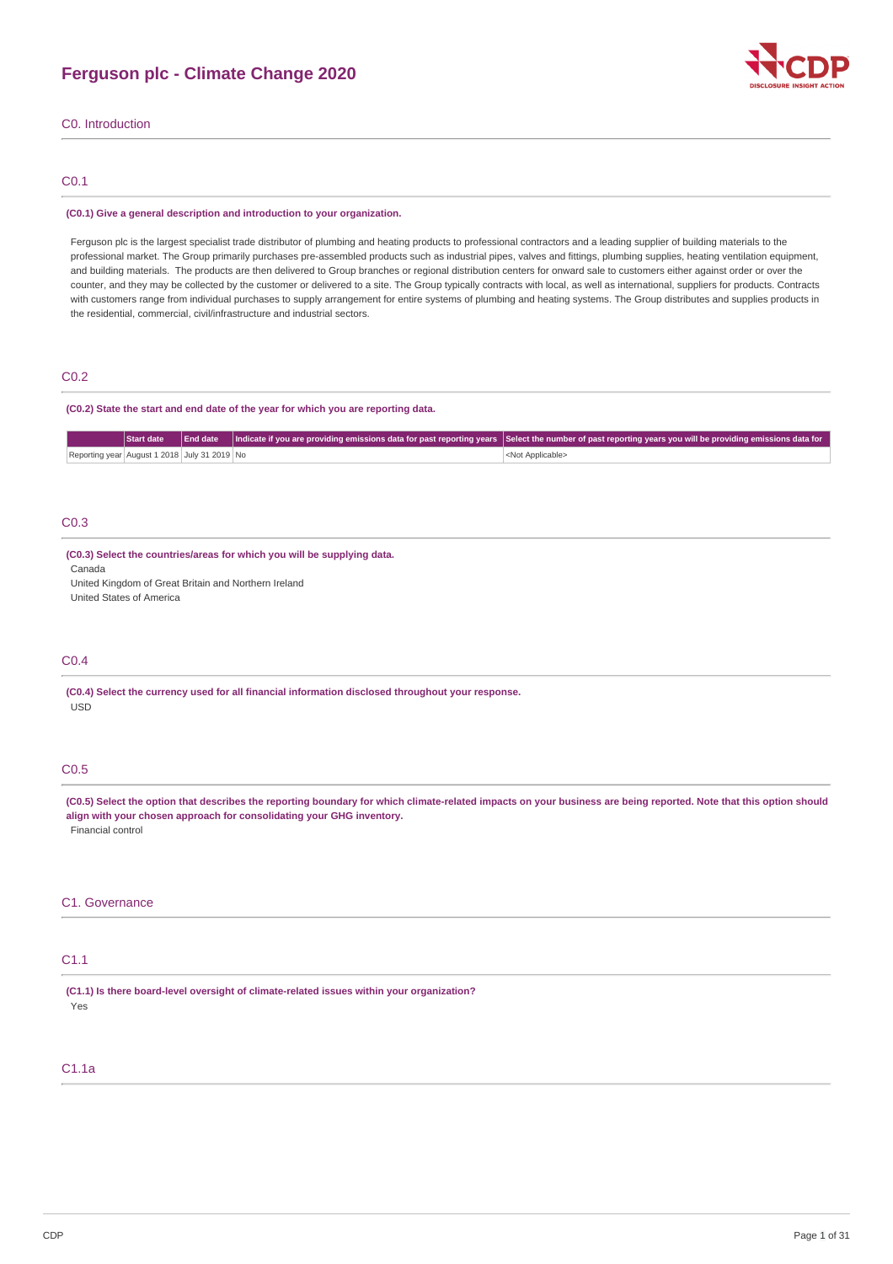

C0. Introduction

# C0.1

#### **(C0.1) Give a general description and introduction to your organization.**

Ferguson plc is the largest specialist trade distributor of plumbing and heating products to professional contractors and a leading supplier of building materials to the professional market. The Group primarily purchases pre-assembled products such as industrial pipes, valves and fittings, plumbing supplies, heating ventilation equipment, and building materials. The products are then delivered to Group branches or regional distribution centers for onward sale to customers either against order or over the counter, and they may be collected by the customer or delivered to a site. The Group typically contracts with local, as well as international, suppliers for products. Contracts with customers range from individual purchases to supply arrangement for entire systems of plumbing and heating systems. The Group distributes and supplies products in the residential, commercial, civil/infrastructure and industrial sectors.

# C<sub>0.2</sub>

#### **(C0.2) State the start and end date of the year for which you are reporting data.**

|                                              | Start date |  | End date   Indicate if you are providing emissions data for past reporting years   Select the number of past reporting years you will be providing emissions data for |
|----------------------------------------------|------------|--|-----------------------------------------------------------------------------------------------------------------------------------------------------------------------|
| Reporting year August 1 2018 July 31 2019 No |            |  | <not applicable=""></not>                                                                                                                                             |

# C0.3

#### **(C0.3) Select the countries/areas for which you will be supplying data.**

Canada United Kingdom of Great Britain and Northern Ireland

United States of America

#### C0.4

**(C0.4) Select the currency used for all financial information disclosed throughout your response.** USD

# C0.5

(C0.5) Select the option that describes the reporting boundary for which climate-related impacts on your business are being reported. Note that this option should **align with your chosen approach for consolidating your GHG inventory.** Financial control

#### C1. Governance

# C1.1

**(C1.1) Is there board-level oversight of climate-related issues within your organization?** Yes

# C1.1a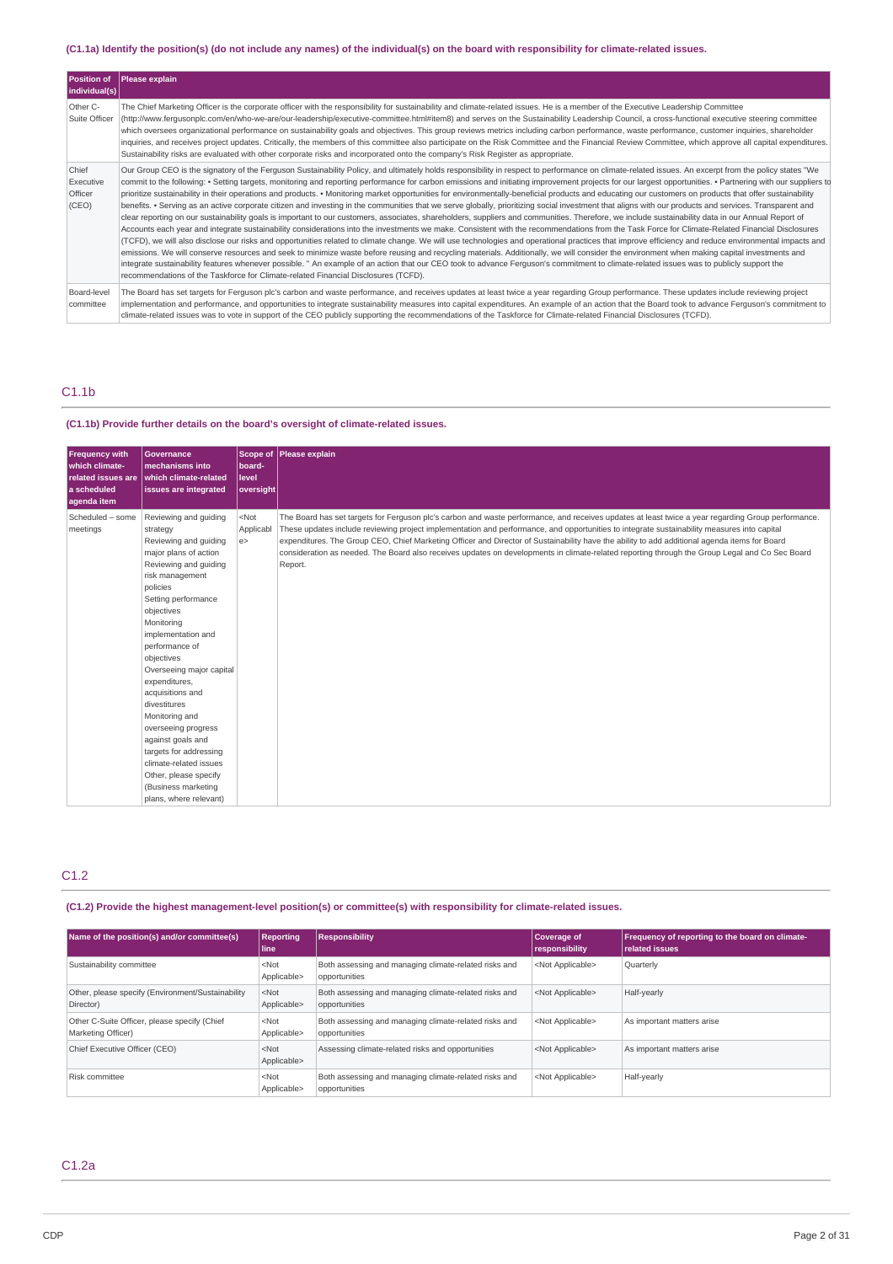# (C1.1a) Identify the position(s) (do not include any names) of the individual(s) on the board with responsibility for climate-related issues.

| <b>Position of</b><br>$ $ individual(s) $ $ | <b>Please explain</b>                                                                                                                                                                                                                                                                                                                                                                                                                                                                                                                                                                                                                                                                                                                                                                                                                                                                                                                                                                                                                                                                                                                                                                                                                                                                                                                                                                                                                                                                                                                                                                                                                                                                                                                                                                                                                                                                                                                   |
|---------------------------------------------|-----------------------------------------------------------------------------------------------------------------------------------------------------------------------------------------------------------------------------------------------------------------------------------------------------------------------------------------------------------------------------------------------------------------------------------------------------------------------------------------------------------------------------------------------------------------------------------------------------------------------------------------------------------------------------------------------------------------------------------------------------------------------------------------------------------------------------------------------------------------------------------------------------------------------------------------------------------------------------------------------------------------------------------------------------------------------------------------------------------------------------------------------------------------------------------------------------------------------------------------------------------------------------------------------------------------------------------------------------------------------------------------------------------------------------------------------------------------------------------------------------------------------------------------------------------------------------------------------------------------------------------------------------------------------------------------------------------------------------------------------------------------------------------------------------------------------------------------------------------------------------------------------------------------------------------------|
| Other C-<br>Suite Officer                   | The Chief Marketing Officer is the corporate officer with the responsibility for sustainability and climate-related issues. He is a member of the Executive Leadership Committee<br>(http://www.ferqusonplc.com/en/who-we-are/our-leadership/executive-committee.html#item8) and serves on the Sustainability Leadership Council, a cross-functional executive steering committee<br>which oversees organizational performance on sustainability goals and objectives. This group reviews metrics including carbon performance, waste performance, customer inquiries, shareholder<br>inquiries, and receives project updates. Critically, the members of this committee also participate on the Risk Committee and the Financial Review Committee, which approve all capital expenditures.<br>Sustainability risks are evaluated with other corporate risks and incorporated onto the company's Risk Register as appropriate.                                                                                                                                                                                                                                                                                                                                                                                                                                                                                                                                                                                                                                                                                                                                                                                                                                                                                                                                                                                                          |
| Chief<br>Executive<br>Officer<br>(CEO)      | Our Group CEO is the signatory of the Ferguson Sustainability Policy, and ultimately holds responsibility in respect to performance on climate-related issues. An excerpt from the policy states "We<br>commit to the following: • Setting targets, monitoring and reporting performance for carbon emissions and initiating improvement projects for our largest opportunities. • Partnering with our suppliers to<br>prioritize sustainability in their operations and products. • Monitoring market opportunities for environmentally-beneficial products and educating our customers on products that offer sustainability<br>benefits. • Serving as an active corporate citizen and investing in the communities that we serve globally, prioritizing social investment that aligns with our products and services. Transparent and<br>clear reporting on our sustainability goals is important to our customers, associates, shareholders, suppliers and communities. Therefore, we include sustainability data in our Annual Report of<br>Accounts each year and integrate sustainability considerations into the investments we make. Consistent with the recommendations from the Task Force for Climate-Related Financial Disclosures<br>(TCFD), we will also disclose our risks and opportunities related to climate change. We will use technologies and operational practices that improve efficiency and reduce environmental impacts and<br>emissions. We will conserve resources and seek to minimize waste before reusing and recycling materials. Additionally, we will consider the environment when making capital investments and<br>integrate sustainability features whenever possible. " An example of an action that our CEO took to advance Ferguson's commitment to climate-related issues was to publicly support the<br>recommendations of the Taskforce for Climate-related Financial Disclosures (TCFD). |
| Board-level<br>committee                    | The Board has set targets for Ferguson plc's carbon and waste performance, and receives updates at least twice a year regarding Group performance. These updates include reviewing project<br>implementation and performance, and opportunities to integrate sustainability measures into capital expenditures. An example of an action that the Board took to advance Ferguson's commitment to<br>climate-related issues was to vote in support of the CEO publicly supporting the recommendations of the Taskforce for Climate-related Financial Disclosures (TCFD).                                                                                                                                                                                                                                                                                                                                                                                                                                                                                                                                                                                                                                                                                                                                                                                                                                                                                                                                                                                                                                                                                                                                                                                                                                                                                                                                                                  |

# C1.1b

# **(C1.1b) Provide further details on the board's oversight of climate-related issues.**

| <b>Frequency with</b><br>which climate-<br>related issues are<br>a scheduled<br>aqenda item | <b>Governance</b><br>mechanisms into<br>which climate-related<br>issues are integrated                                                                                                                                                                                                                                                                                                                                                                                                                                            | Scope of<br>board-<br>level<br>oversight | Please explain                                                                                                                                                                                                                                                                                                                                                                                                                                                                                                                                                                                                  |
|---------------------------------------------------------------------------------------------|-----------------------------------------------------------------------------------------------------------------------------------------------------------------------------------------------------------------------------------------------------------------------------------------------------------------------------------------------------------------------------------------------------------------------------------------------------------------------------------------------------------------------------------|------------------------------------------|-----------------------------------------------------------------------------------------------------------------------------------------------------------------------------------------------------------------------------------------------------------------------------------------------------------------------------------------------------------------------------------------------------------------------------------------------------------------------------------------------------------------------------------------------------------------------------------------------------------------|
| Scheduled - some<br>meetings                                                                | Reviewing and quiding<br>strategy<br>Reviewing and guiding<br>major plans of action<br>Reviewing and quiding<br>risk management<br>policies<br>Setting performance<br>objectives<br>Monitoring<br>implementation and<br>performance of<br>objectives<br>Overseeing major capital<br>expenditures,<br>acquisitions and<br>divestitures<br>Monitoring and<br>overseeing progress<br>against goals and<br>targets for addressing<br>climate-related issues<br>Other, please specify<br>(Business marketing<br>plans, where relevant) | $<$ Not<br>Applicabl<br>e                | The Board has set targets for Ferguson plc's carbon and waste performance, and receives updates at least twice a year regarding Group performance.<br>These updates include reviewing project implementation and performance, and opportunities to integrate sustainability measures into capital<br>expenditures. The Group CEO, Chief Marketing Officer and Director of Sustainability have the ability to add additional agenda items for Board<br>consideration as needed. The Board also receives updates on developments in climate-related reporting through the Group Legal and Co Sec Board<br>Report. |

# C1.2

# **(C1.2) Provide the highest management-level position(s) or committee(s) with responsibility for climate-related issues.**

| Name of the position(s) and/or committee(s)                        | <b>Reporting</b><br>line | <b>Responsibility</b>                                                  | Coverage of<br>responsibility | Frequency of reporting to the board on climate-<br><b>related issues</b> |
|--------------------------------------------------------------------|--------------------------|------------------------------------------------------------------------|-------------------------------|--------------------------------------------------------------------------|
| Sustainability committee                                           | $<$ Not<br>Applicable>   | Both assessing and managing climate-related risks and<br>opportunities | <not applicable=""></not>     | Quarterly                                                                |
| Other, please specify (Environment/Sustainability<br>Director)     | $<$ Not<br>Applicable>   | Both assessing and managing climate-related risks and<br>opportunities | <not applicable=""></not>     | Half-yearly                                                              |
| Other C-Suite Officer, please specify (Chief<br>Marketing Officer) | $<$ Not<br>Applicable>   | Both assessing and managing climate-related risks and<br>opportunities | <not applicable=""></not>     | As important matters arise                                               |
| Chief Executive Officer (CEO)                                      | $<$ Not<br>Applicable>   | Assessing climate-related risks and opportunities                      | <not applicable=""></not>     | As important matters arise                                               |
| Risk committee                                                     | $<$ Not<br>Applicable>   | Both assessing and managing climate-related risks and<br>opportunities | <not applicable=""></not>     | Half-yearly                                                              |

# C1.2a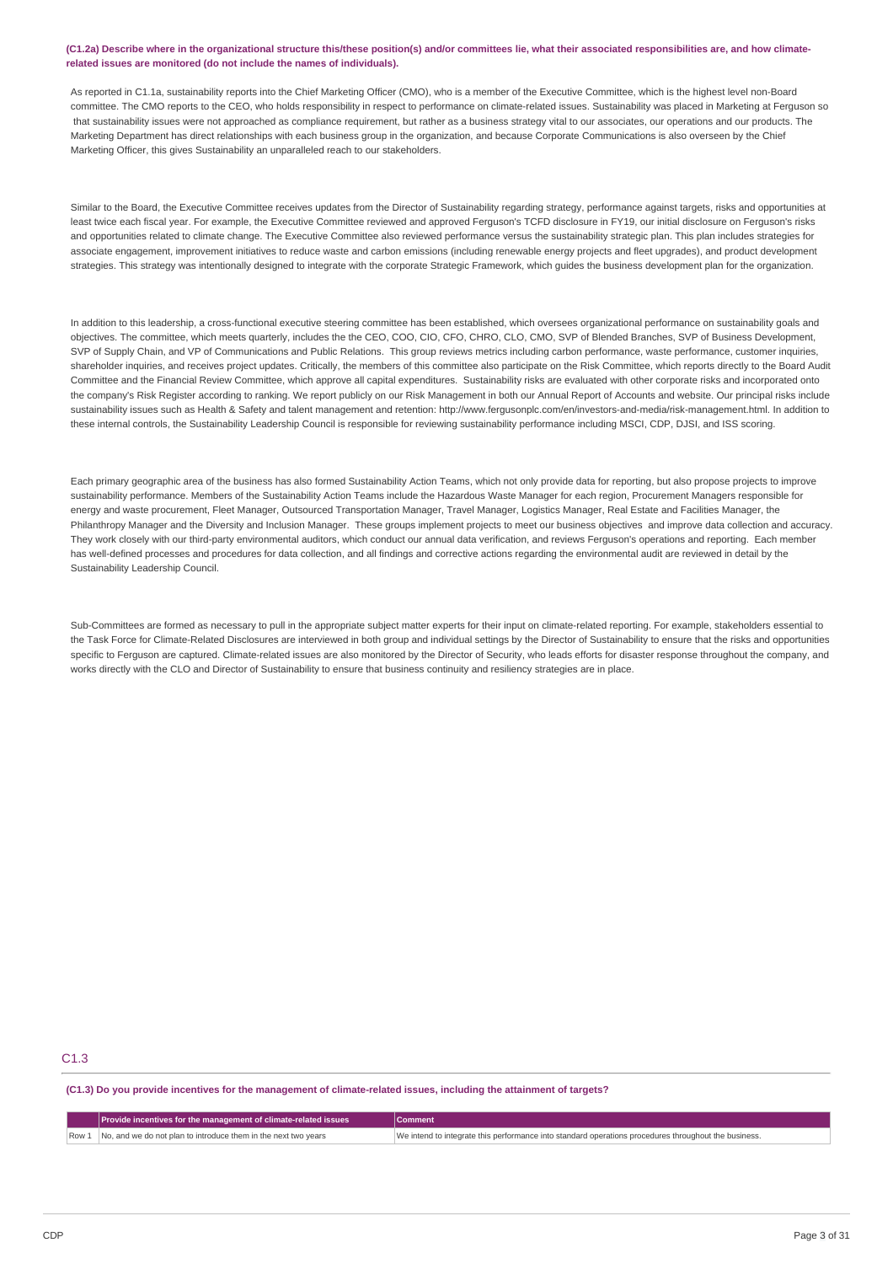#### (C1.2a) Describe where in the organizational structure this/these position(s) and/or committees lie, what their associated responsibilities are, and how climate**related issues are monitored (do not include the names of individuals).**

As reported in C1.1a, sustainability reports into the Chief Marketing Officer (CMO), who is a member of the Executive Committee, which is the highest level non-Board committee. The CMO reports to the CEO, who holds responsibility in respect to performance on climate-related issues. Sustainability was placed in Marketing at Ferguson so that sustainability issues were not approached as compliance requirement, but rather as a business strategy vital to our associates, our operations and our products. The Marketing Department has direct relationships with each business group in the organization, and because Corporate Communications is also overseen by the Chief Marketing Officer, this gives Sustainability an unparalleled reach to our stakeholders.

Similar to the Board, the Executive Committee receives updates from the Director of Sustainability regarding strategy, performance against targets, risks and opportunities at least twice each fiscal year. For example, the Executive Committee reviewed and approved Ferguson's TCFD disclosure in FY19, our initial disclosure on Ferguson's risks and opportunities related to climate change. The Executive Committee also reviewed performance versus the sustainability strategic plan. This plan includes strategies for associate engagement, improvement initiatives to reduce waste and carbon emissions (including renewable energy projects and fleet upgrades), and product development strategies. This strategy was intentionally designed to integrate with the corporate Strategic Framework, which guides the business development plan for the organization.

In addition to this leadership, a cross-functional executive steering committee has been established, which oversees organizational performance on sustainability goals and objectives. The committee, which meets quarterly, includes the the CEO, COO, CIO, CFO, CHRO, CLO, CMO, SVP of Blended Branches, SVP of Business Development, SVP of Supply Chain, and VP of Communications and Public Relations. This group reviews metrics including carbon performance, waste performance, customer inquiries, shareholder inquiries, and receives project updates. Critically, the members of this committee also participate on the Risk Committee, which reports directly to the Board Audit Committee and the Financial Review Committee, which approve all capital expenditures. Sustainability risks are evaluated with other corporate risks and incorporated onto the company's Risk Register according to ranking. We report publicly on our Risk Management in both our Annual Report of Accounts and website. Our principal risks include sustainability issues such as Health & Safety and talent management and retention: http://www.fergusonplc.com/en/investors-and-media/risk-management.html. In addition to these internal controls, the Sustainability Leadership Council is responsible for reviewing sustainability performance including MSCI, CDP, DJSI, and ISS scoring.

Each primary geographic area of the business has also formed Sustainability Action Teams, which not only provide data for reporting, but also propose projects to improve sustainability performance. Members of the Sustainability Action Teams include the Hazardous Waste Manager for each region, Procurement Managers responsible for energy and waste procurement, Fleet Manager, Outsourced Transportation Manager, Travel Manager, Logistics Manager, Real Estate and Facilities Manager, the Philanthropy Manager and the Diversity and Inclusion Manager. These groups implement projects to meet our business objectives and improve data collection and accuracy. They work closely with our third-party environmental auditors, which conduct our annual data verification, and reviews Ferguson's operations and reporting. Each member has well-defined processes and procedures for data collection, and all findings and corrective actions regarding the environmental audit are reviewed in detail by the Sustainability Leadership Council.

Sub-Committees are formed as necessary to pull in the appropriate subject matter experts for their input on climate-related reporting. For example, stakeholders essential to the Task Force for Climate-Related Disclosures are interviewed in both group and individual settings by the Director of Sustainability to ensure that the risks and opportunities specific to Ferguson are captured. Climate-related issues are also monitored by the Director of Security, who leads efforts for disaster response throughout the company, and works directly with the CLO and Director of Sustainability to ensure that business continuity and resiliency strategies are in place.

# C1.3

(C1.3) Do you provide incentives for the management of climate-related issues, including the attainment of targets?

|       | Provide incentives for the management of climate-related issues | Comment                                                                                              |
|-------|-----------------------------------------------------------------|------------------------------------------------------------------------------------------------------|
| Row 1 | No, and we do not plan to introduce them in the next two vears  | We intend to integrate this performance into standard operations procedures throughout the business. |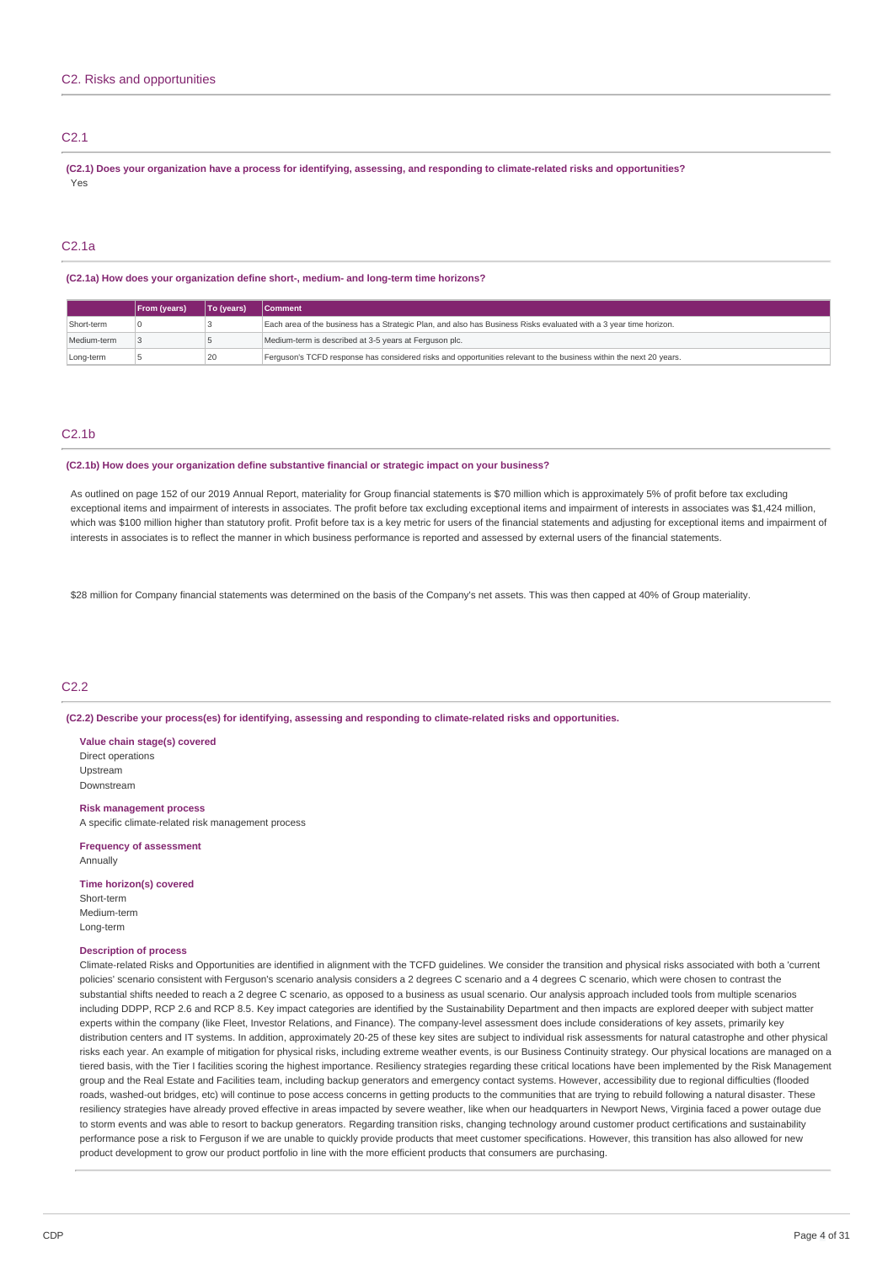# C<sub>2</sub>.1

(C2.1) Does your organization have a process for identifying, assessing, and responding to climate-related risks and opportunities? Yes

# C2.1a

#### **(C2.1a) How does your organization define short-, medium- and long-term time horizons?**

|             | From (years) | <b>To (vears)</b> | <b>Comment</b>                                                                                                     |
|-------------|--------------|-------------------|--------------------------------------------------------------------------------------------------------------------|
| Short-term  |              |                   | Each area of the business has a Strategic Plan, and also has Business Risks evaluated with a 3 year time horizon.  |
| Medium-term |              |                   | Medium-term is described at 3-5 years at Ferguson plc.                                                             |
| Long-term   |              | 20                | Ferguson's TCFD response has considered risks and opportunities relevant to the business within the next 20 years. |

# C2.1b

#### **(C2.1b) How does your organization define substantive financial or strategic impact on your business?**

As outlined on page 152 of our 2019 Annual Report, materiality for Group financial statements is \$70 million which is approximately 5% of profit before tax excluding exceptional items and impairment of interests in associates. The profit before tax excluding exceptional items and impairment of interests in associates was \$1,424 million, which was \$100 million higher than statutory profit. Profit before tax is a key metric for users of the financial statements and adjusting for exceptional items and impairment of interests in associates is to reflect the manner in which business performance is reported and assessed by external users of the financial statements.

\$28 million for Company financial statements was determined on the basis of the Company's net assets. This was then capped at 40% of Group materiality.

#### C2.2

**(C2.2) Describe your process(es) for identifying, assessing and responding to climate-related risks and opportunities.**

**Value chain stage(s) covered** Direct operations Upstream Downstream

#### **Risk management process**

A specific climate-related risk management process

**Frequency of assessment** Annually

**Time horizon(s) covered**

Short-term Medium-term Long-term

#### **Description of process**

Climate-related Risks and Opportunities are identified in alignment with the TCFD guidelines. We consider the transition and physical risks associated with both a 'current policies' scenario consistent with Ferguson's scenario analysis considers a 2 degrees C scenario and a 4 degrees C scenario, which were chosen to contrast the substantial shifts needed to reach a 2 degree C scenario, as opposed to a business as usual scenario. Our analysis approach included tools from multiple scenarios including DDPP, RCP 2.6 and RCP 8.5. Key impact categories are identified by the Sustainability Department and then impacts are explored deeper with subject matter experts within the company (like Fleet, Investor Relations, and Finance). The company-level assessment does include considerations of key assets, primarily key distribution centers and IT systems. In addition, approximately 20-25 of these key sites are subject to individual risk assessments for natural catastrophe and other physical risks each year. An example of mitigation for physical risks, including extreme weather events, is our Business Continuity strategy. Our physical locations are managed on a tiered basis, with the Tier I facilities scoring the highest importance. Resiliency strategies regarding these critical locations have been implemented by the Risk Management group and the Real Estate and Facilities team, including backup generators and emergency contact systems. However, accessibility due to regional difficulties (flooded roads, washed-out bridges, etc) will continue to pose access concerns in getting products to the communities that are trying to rebuild following a natural disaster. These resiliency strategies have already proved effective in areas impacted by severe weather, like when our headquarters in Newport News, Virginia faced a power outage due to storm events and was able to resort to backup generators. Regarding transition risks, changing technology around customer product certifications and sustainability performance pose a risk to Ferguson if we are unable to quickly provide products that meet customer specifications. However, this transition has also allowed for new product development to grow our product portfolio in line with the more efficient products that consumers are purchasing.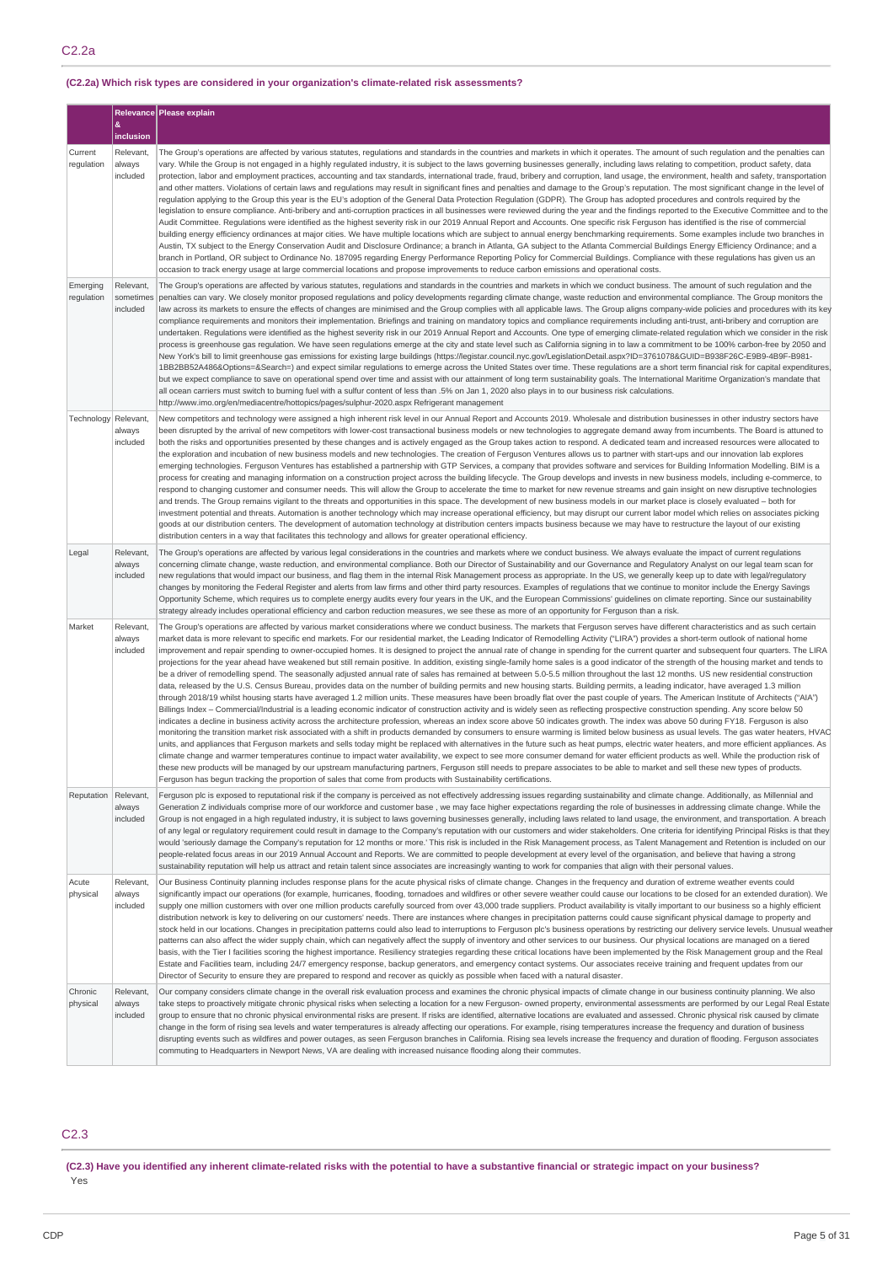# C2.2a

# **(C2.2a) Which risk types are considered in your organization's climate-related risk assessments?**

|                        |                                    | Relevance Please explain                                                                                                                                                                                                                                                                                                                                                                                                                                                                                                                                                                                                                                                                                                                                                                                                                                                                                                                                                                                                                                                                                                                                                                                                                                                                                                                                                                                                                                                                                                                                                                                                                                                                                                                                                                                                                                                                                                                                                                                                                                                                                                                                                                                                                                                                                                                                                                                                                                                                                                                                                                                                           |
|------------------------|------------------------------------|------------------------------------------------------------------------------------------------------------------------------------------------------------------------------------------------------------------------------------------------------------------------------------------------------------------------------------------------------------------------------------------------------------------------------------------------------------------------------------------------------------------------------------------------------------------------------------------------------------------------------------------------------------------------------------------------------------------------------------------------------------------------------------------------------------------------------------------------------------------------------------------------------------------------------------------------------------------------------------------------------------------------------------------------------------------------------------------------------------------------------------------------------------------------------------------------------------------------------------------------------------------------------------------------------------------------------------------------------------------------------------------------------------------------------------------------------------------------------------------------------------------------------------------------------------------------------------------------------------------------------------------------------------------------------------------------------------------------------------------------------------------------------------------------------------------------------------------------------------------------------------------------------------------------------------------------------------------------------------------------------------------------------------------------------------------------------------------------------------------------------------------------------------------------------------------------------------------------------------------------------------------------------------------------------------------------------------------------------------------------------------------------------------------------------------------------------------------------------------------------------------------------------------------------------------------------------------------------------------------------------------|
|                        | &<br>inclusion                     |                                                                                                                                                                                                                                                                                                                                                                                                                                                                                                                                                                                                                                                                                                                                                                                                                                                                                                                                                                                                                                                                                                                                                                                                                                                                                                                                                                                                                                                                                                                                                                                                                                                                                                                                                                                                                                                                                                                                                                                                                                                                                                                                                                                                                                                                                                                                                                                                                                                                                                                                                                                                                                    |
| Current<br>regulation  | Relevant,<br>always<br>included    | The Group's operations are affected by various statutes, regulations and standards in the countries and markets in which it operates. The amount of such regulation and the penalties can<br>vary. While the Group is not engaged in a highly regulated industry, it is subject to the laws governing businesses generally, including laws relating to competition, product safety, data<br>protection, labor and employment practices, accounting and tax standards, international trade, fraud, bribery and corruption, land usage, the environment, health and safety, transportation<br>and other matters. Violations of certain laws and regulations may result in significant fines and penalties and damage to the Group's reputation. The most significant change in the level of<br>regulation applying to the Group this year is the EU's adoption of the General Data Protection Regulation (GDPR). The Group has adopted procedures and controls required by the<br>legislation to ensure compliance. Anti-bribery and anti-corruption practices in all businesses were reviewed during the year and the findings reported to the Executive Committee and to the<br>Audit Committee. Regulations were identified as the highest severity risk in our 2019 Annual Report and Accounts. One specific risk Ferguson has identified is the rise of commercial<br>building energy efficiency ordinances at major cities. We have multiple locations which are subject to annual energy benchmarking requirements. Some examples include two branches in<br>Austin, TX subject to the Energy Conservation Audit and Disclosure Ordinance; a branch in Atlanta, GA subject to the Atlanta Commercial Buildings Energy Efficiency Ordinance; and a<br>branch in Portland, OR subject to Ordinance No. 187095 regarding Energy Performance Reporting Policy for Commercial Buildings. Compliance with these regulations has given us an<br>occasion to track energy usage at large commercial locations and propose improvements to reduce carbon emissions and operational costs.                                                                                                                                                                                                                                                                                                                                                                                                                                                                                                                                              |
| Emerging<br>regulation | Relevant,<br>sometimes<br>included | The Group's operations are affected by various statutes, regulations and standards in the countries and markets in which we conduct business. The amount of such regulation and the<br>penalties can vary. We closely monitor proposed regulations and policy developments regarding climate change, waste reduction and environmental compliance. The Group monitors the<br>law across its markets to ensure the effects of changes are minimised and the Group complies with all applicable laws. The Group aligns company-wide policies and procedures with its key<br>compliance requirements and monitors their implementation. Briefings and training on mandatory topics and compliance requirements including anti-trust, anti-bribery and corruption are<br>undertaken. Regulations were identified as the highest severity risk in our 2019 Annual Report and Accounts. One type of emerging climate-related regulation which we consider in the risk<br>process is greenhouse gas regulation. We have seen regulations emerge at the city and state level such as California signing in to law a commitment to be 100% carbon-free by 2050 and<br>New York's bill to limit greenhouse gas emissions for existing large buildings (https://legistar.council.nyc.gov/LegislationDetail.aspx?ID=3761078&GUID=B938F26C-E9B9-4B9F-B981-<br>1BB2BB52A486&Options=&Search=) and expect similar regulations to emerge across the United States over time. These regulations are a short term financial risk for capital expenditures<br>but we expect compliance to save on operational spend over time and assist with our attainment of long term sustainability goals. The International Maritime Organization's mandate that<br>all ocean carriers must switch to burning fuel with a sulfur content of less than .5% on Jan 1, 2020 also plays in to our business risk calculations.<br>http://www.imo.org/en/mediacentre/hottopics/pages/sulphur-2020.aspx Refrigerant management                                                                                                                                                                                                                                                                                                                                                                                                                                                                                                                                                                                                                                         |
| Technology             | Relevant,<br>always<br>included    | New competitors and technology were assigned a high inherent risk level in our Annual Report and Accounts 2019. Wholesale and distribution businesses in other industry sectors have<br>been disrupted by the arrival of new competitors with lower-cost transactional business models or new technologies to aggregate demand away from incumbents. The Board is attuned to<br>both the risks and opportunities presented by these changes and is actively engaged as the Group takes action to respond. A dedicated team and increased resources were allocated to<br>the exploration and incubation of new business models and new technologies. The creation of Ferguson Ventures allows us to partner with start-ups and our innovation lab explores<br>emerging technologies. Ferguson Ventures has established a partnership with GTP Services, a company that provides software and services for Building Information Modelling. BIM is a<br>process for creating and managing information on a construction project across the building lifecycle. The Group develops and invests in new business models, including e-commerce, to<br>respond to changing customer and consumer needs. This will allow the Group to accelerate the time to market for new revenue streams and gain insight on new disruptive technologies<br>and trends. The Group remains vigilant to the threats and opportunities in this space. The development of new business models in our market place is closely evaluated - both for<br>investment potential and threats. Automation is another technology which may increase operational efficiency, but may disrupt our current labor model which relies on associates picking<br>goods at our distribution centers. The development of automation technology at distribution centers impacts business because we may have to restructure the layout of our existing<br>distribution centers in a way that facilitates this technology and allows for greater operational efficiency.                                                                                                                                                                                                                                                                                                                                                                                                                                                                                                                                                                                                         |
| Legal                  | Relevant,<br>always<br>included    | The Group's operations are affected by various legal considerations in the countries and markets where we conduct business. We always evaluate the impact of current regulations<br>concerning climate change, waste reduction, and environmental compliance. Both our Director of Sustainability and our Governance and Regulatory Analyst on our legal team scan for<br>new regulations that would impact our business, and flag them in the internal Risk Management process as appropriate. In the US, we generally keep up to date with legal/regulatory<br>changes by monitoring the Federal Register and alerts from law firms and other third party resources. Examples of regulations that we continue to monitor include the Energy Savings<br>Opportunity Scheme, which requires us to complete energy audits every four years in the UK, and the European Commissions' guidelines on climate reporting. Since our sustainability<br>strategy already includes operational efficiency and carbon reduction measures, we see these as more of an opportunity for Ferguson than a risk.                                                                                                                                                                                                                                                                                                                                                                                                                                                                                                                                                                                                                                                                                                                                                                                                                                                                                                                                                                                                                                                                                                                                                                                                                                                                                                                                                                                                                                                                                                                                   |
| Market                 | Relevant,<br>always<br>included    | The Group's operations are affected by various market considerations where we conduct business. The markets that Ferguson serves have different characteristics and as such certain<br>market data is more relevant to specific end markets. For our residential market, the Leading Indicator of Remodelling Activity ("LIRA") provides a short-term outlook of national home<br>improvement and repair spending to owner-occupied homes. It is designed to project the annual rate of change in spending for the current quarter and subsequent four quarters. The LIRA<br>projections for the year ahead have weakened but still remain positive. In addition, existing single-family home sales is a good indicator of the strength of the housing market and tends to<br>be a driver of remodelling spend. The seasonally adjusted annual rate of sales has remained at between 5.0-5.5 million throughout the last 12 months. US new residential construction<br>data, released by the U.S. Census Bureau, provides data on the number of building permits and new housing starts. Building permits, a leading indicator, have averaged 1.3 million<br>through 2018/19 whilst housing starts have averaged 1.2 million units. These measures have been broadly flat over the past couple of years. The American Institute of Architects ("AIA")<br>Billings Index - Commercial/Industrial is a leading economic indicator of construction activity and is widely seen as reflecting prospective construction spending. Any score below 50<br>indicates a decline in business activity across the architecture profession, whereas an index score above 50 indicates growth. The index was above 50 during FY18. Ferguson is also<br>monitoring the transition market risk associated with a shift in products demanded by consumers to ensure warming is limited below business as usual levels. The gas water heaters, HVAC<br>units, and appliances that Ferguson markets and sells today might be replaced with alternatives in the future such as heat pumps, electric water heaters, and more efficient appliances. As<br>climate change and warmer temperatures continue to impact water availability, we expect to see more consumer demand for water efficient products as well. While the production risk of<br>these new products will be managed by our upstream manufacturing partners, Ferguson still needs to prepare associates to be able to market and sell these new types of products.<br>Ferguson has begun tracking the proportion of sales that come from products with Sustainability certifications. |
| Reputation             | Relevant,<br>always<br>included    | Ferguson plc is exposed to reputational risk if the company is perceived as not effectively addressing issues regarding sustainability and climate change. Additionally, as Millennial and<br>Generation Z individuals comprise more of our workforce and customer base, we may face higher expectations regarding the role of businesses in addressing climate change. While the<br>Group is not engaged in a high regulated industry, it is subject to laws governing businesses generally, including laws related to land usage, the environment, and transportation. A breach<br>of any legal or regulatory requirement could result in damage to the Company's reputation with our customers and wider stakeholders. One criteria for identifying Principal Risks is that they<br>would 'seriously damage the Company's reputation for 12 months or more.' This risk is included in the Risk Management process, as Talent Management and Retention is included on our<br>people-related focus areas in our 2019 Annual Account and Reports. We are committed to people development at every level of the organisation, and believe that having a strong<br>sustainability reputation will help us attract and retain talent since associates are increasingly wanting to work for companies that align with their personal values.                                                                                                                                                                                                                                                                                                                                                                                                                                                                                                                                                                                                                                                                                                                                                                                                                                                                                                                                                                                                                                                                                                                                                                                                                                                                                           |
| Acute<br>physical      | Relevant,<br>always<br>included    | Our Business Continuity planning includes response plans for the acute physical risks of climate change. Changes in the frequency and duration of extreme weather events could<br>significantly impact our operations (for example, hurricanes, flooding, tornadoes and wildfires or other severe weather could cause our locations to be closed for an extended duration). We<br>supply one million customers with over one million products carefully sourced from over 43,000 trade suppliers. Product availability is vitally important to our business so a highly efficient<br>distribution network is key to delivering on our customers' needs. There are instances where changes in precipitation patterns could cause significant physical damage to property and<br>stock held in our locations. Changes in precipitation patterns could also lead to interruptions to Ferguson plc's business operations by restricting our delivery service levels. Unusual weather<br>patterns can also affect the wider supply chain, which can negatively affect the supply of inventory and other services to our business. Our physical locations are managed on a tiered<br>basis, with the Tier I facilities scoring the highest importance. Resiliency strategies regarding these critical locations have been implemented by the Risk Management group and the Real<br>Estate and Facilities team, including 24/7 emergency response, backup generators, and emergency contact systems. Our associates receive training and frequent updates from our<br>Director of Security to ensure they are prepared to respond and recover as quickly as possible when faced with a natural disaster.                                                                                                                                                                                                                                                                                                                                                                                                                                                                                                                                                                                                                                                                                                                                                                                                                                                                                                                                  |
| Chronic<br>physical    | Relevant,<br>always<br>included    | Our company considers climate change in the overall risk evaluation process and examines the chronic physical impacts of climate change in our business continuity planning. We also<br>take steps to proactively mitigate chronic physical risks when selecting a location for a new Ferguson- owned property, environmental assessments are performed by our Legal Real Estate<br>group to ensure that no chronic physical environmental risks are present. If risks are identified, alternative locations are evaluated and assessed. Chronic physical risk caused by climate<br>change in the form of rising sea levels and water temperatures is already affecting our operations. For example, rising temperatures increase the frequency and duration of business<br>disrupting events such as wildfires and power outages, as seen Ferguson branches in California. Rising sea levels increase the frequency and duration of flooding. Ferguson associates<br>commuting to Headquarters in Newport News, VA are dealing with increased nuisance flooding along their commutes.                                                                                                                                                                                                                                                                                                                                                                                                                                                                                                                                                                                                                                                                                                                                                                                                                                                                                                                                                                                                                                                                                                                                                                                                                                                                                                                                                                                                                                                                                                                                             |

# C2.3

(C2.3) Have you identified any inherent climate-related risks with the potential to have a substantive financial or strategic impact on your business? .<br>Yes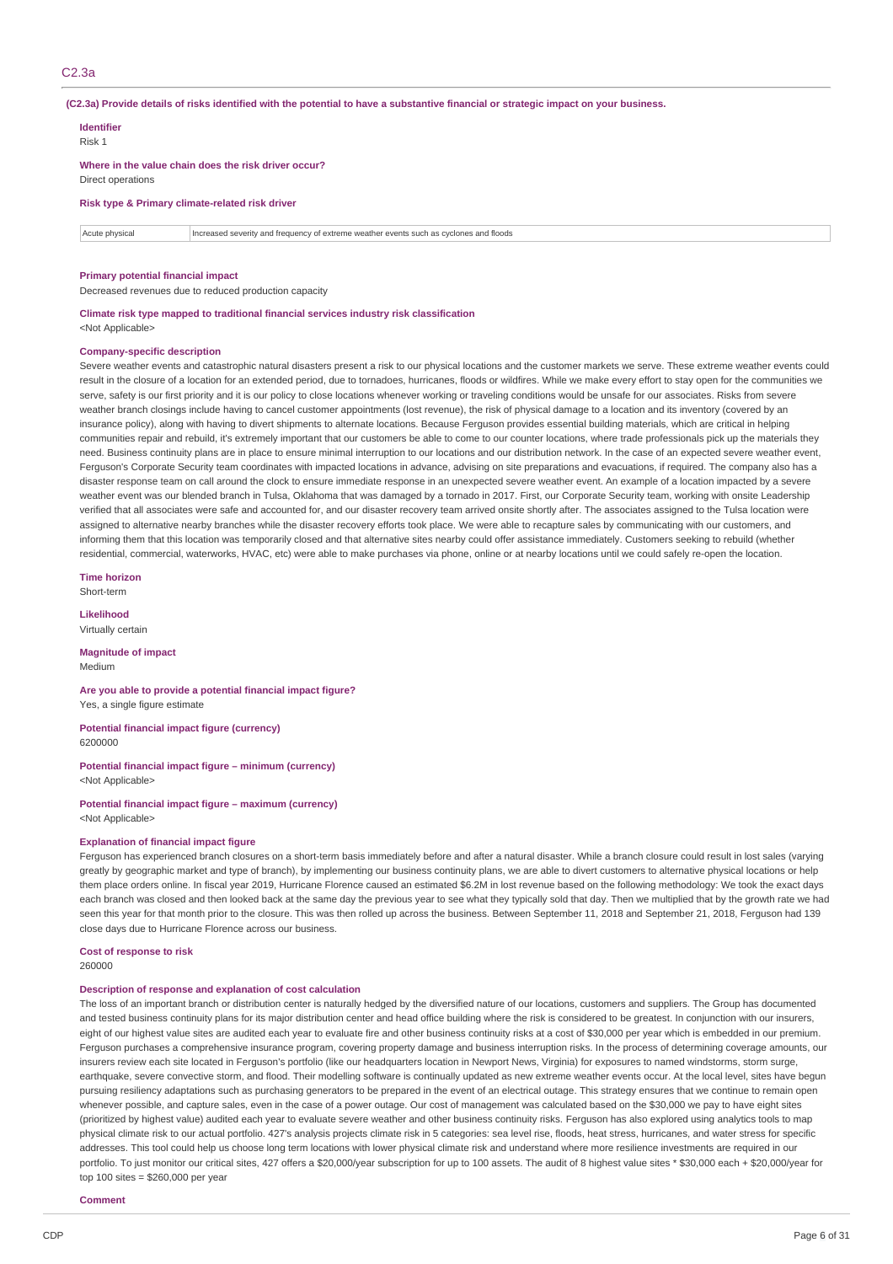(C2.3a) Provide details of risks identified with the potential to have a substantive financial or strategic impact on your business.

**Identifier** Risk 1

**Where in the value chain does the risk driver occur?** Direct operations

**Risk type & Primary climate-related risk driver**

Acute physical Increased severity and frequency of extreme weather events such as cyclones and floods

#### **Primary potential financial impact**

Decreased revenues due to reduced production capacity

**Climate risk type mapped to traditional financial services industry risk classification** <Not Applicable>

#### **Company-specific description**

Severe weather events and catastrophic natural disasters present a risk to our physical locations and the customer markets we serve. These extreme weather events could result in the closure of a location for an extended period, due to tornadoes, hurricanes, floods or wildfires. While we make every effort to stay open for the communities we serve, safety is our first priority and it is our policy to close locations whenever working or traveling conditions would be unsafe for our associates. Risks from severe weather branch closings include having to cancel customer appointments (lost revenue), the risk of physical damage to a location and its inventory (covered by an insurance policy), along with having to divert shipments to alternate locations. Because Ferguson provides essential building materials, which are critical in helping communities repair and rebuild, it's extremely important that our customers be able to come to our counter locations, where trade professionals pick up the materials they need. Business continuity plans are in place to ensure minimal interruption to our locations and our distribution network. In the case of an expected severe weather event, Ferguson's Corporate Security team coordinates with impacted locations in advance, advising on site preparations and evacuations, if required. The company also has a disaster response team on call around the clock to ensure immediate response in an unexpected severe weather event. An example of a location impacted by a severe weather event was our blended branch in Tulsa, Oklahoma that was damaged by a tornado in 2017. First, our Corporate Security team, working with onsite Leadership verified that all associates were safe and accounted for, and our disaster recovery team arrived onsite shortly after. The associates assigned to the Tulsa location were assigned to alternative nearby branches while the disaster recovery efforts took place. We were able to recapture sales by communicating with our customers, and informing them that this location was temporarily closed and that alternative sites nearby could offer assistance immediately. Customers seeking to rebuild (whether residential, commercial, waterworks, HVAC, etc) were able to make purchases via phone, online or at nearby locations until we could safely re-open the location.

**Time horizon**

Short-term

**Likelihood** Virtually certain

**Magnitude of impact** Medium

**Are you able to provide a potential financial impact figure?** Yes, a single figure estimate

**Potential financial impact figure (currency)** 6200000

**Potential financial impact figure – minimum (currency)** <Not Applicable>

**Potential financial impact figure – maximum (currency)** <Not Applicable>

#### **Explanation of financial impact figure**

Ferguson has experienced branch closures on a short-term basis immediately before and after a natural disaster. While a branch closure could result in lost sales (varying greatly by geographic market and type of branch), by implementing our business continuity plans, we are able to divert customers to alternative physical locations or help them place orders online. In fiscal year 2019, Hurricane Florence caused an estimated \$6.2M in lost revenue based on the following methodology: We took the exact days each branch was closed and then looked back at the same day the previous year to see what they typically sold that day. Then we multiplied that by the growth rate we had seen this year for that month prior to the closure. This was then rolled up across the business. Between September 11, 2018 and September 21, 2018. Ferguson had 139 close days due to Hurricane Florence across our business.

# **Cost of response to risk**

260000

#### **Description of response and explanation of cost calculation**

The loss of an important branch or distribution center is naturally hedged by the diversified nature of our locations, customers and suppliers. The Group has documented and tested business continuity plans for its major distribution center and head office building where the risk is considered to be greatest. In conjunction with our insurers, eight of our highest value sites are audited each year to evaluate fire and other business continuity risks at a cost of \$30,000 per year which is embedded in our premium. Ferguson purchases a comprehensive insurance program, covering property damage and business interruption risks. In the process of determining coverage amounts, our insurers review each site located in Ferguson's portfolio (like our headquarters location in Newport News, Virginia) for exposures to named windstorms, storm surge, earthquake, severe convective storm, and flood. Their modelling software is continually updated as new extreme weather events occur. At the local level, sites have begun pursuing resiliency adaptations such as purchasing generators to be prepared in the event of an electrical outage. This strategy ensures that we continue to remain open whenever possible, and capture sales, even in the case of a power outage. Our cost of management was calculated based on the \$30,000 we pay to have eight sites (prioritized by highest value) audited each year to evaluate severe weather and other business continuity risks. Ferguson has also explored using analytics tools to map physical climate risk to our actual portfolio. 427's analysis projects climate risk in 5 categories: sea level rise, floods, heat stress, hurricanes, and water stress for specific addresses. This tool could help us choose long term locations with lower physical climate risk and understand where more resilience investments are required in our portfolio. To just monitor our critical sites, 427 offers a \$20,000/year subscription for up to 100 assets. The audit of 8 highest value sites \* \$30,000 each + \$20,000/year for top 100 sites = \$260,000 per year

**Comment**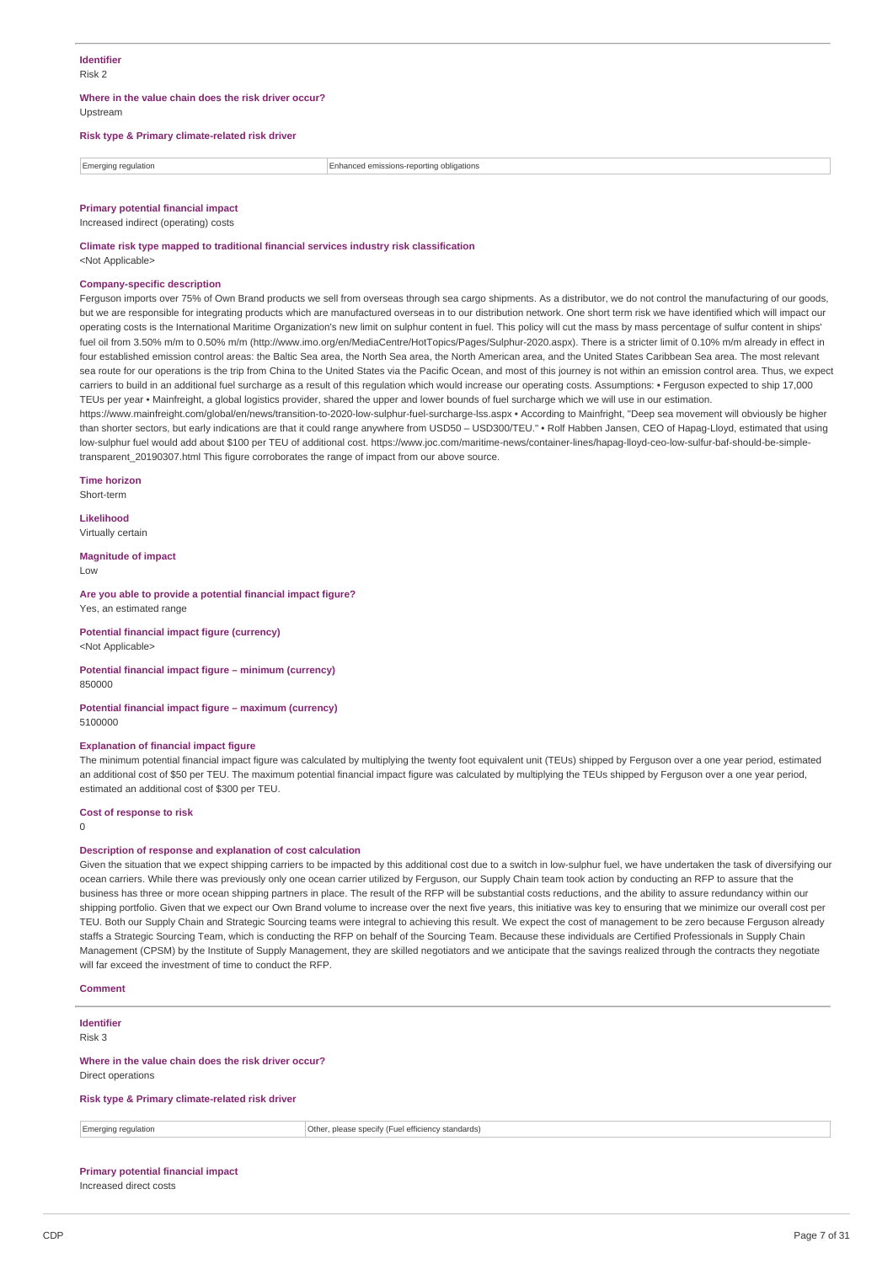#### **Where in the value chain does the risk driver occur?** Upstream

### **Risk type & Primary climate-related risk driver**

Emerging regulation Enhanced emissions-reporting obligations

#### **Primary potential financial impact** Increased indirect (operating) costs

# **Climate risk type mapped to traditional financial services industry risk classification**

<Not Applicable>

#### **Company-specific description**

Ferguson imports over 75% of Own Brand products we sell from overseas through sea cargo shipments. As a distributor, we do not control the manufacturing of our goods, but we are responsible for integrating products which are manufactured overseas in to our distribution network. One short term risk we have identified which will impact our operating costs is the International Maritime Organization's new limit on sulphur content in fuel. This policy will cut the mass by mass percentage of sulfur content in ships' fuel oil from 3.50% m/m to 0.50% m/m (http://www.imo.org/en/MediaCentre/HotTopics/Pages/Sulphur-2020.aspx). There is a stricter limit of 0.10% m/m already in effect in four established emission control areas: the Baltic Sea area, the North Sea area, the North American area, and the United States Caribbean Sea area. The most relevant sea route for our operations is the trip from China to the United States via the Pacific Ocean, and most of this journey is not within an emission control area. Thus, we expect carriers to build in an additional fuel surcharge as a result of this regulation which would increase our operating costs. Assumptions: • Ferguson expected to ship 17,000 TEUs per year • Mainfreight, a global logistics provider, shared the upper and lower bounds of fuel surcharge which we will use in our estimation.

https://www.mainfreight.com/global/en/news/transition-to-2020-low-sulphur-fuel-surcharge-lss.aspx • According to Mainfright, "Deep sea movement will obviously be higher than shorter sectors, but early indications are that it could range anywhere from USD50 – USD300/TEU." • Rolf Habben Jansen, CEO of Hapag-Lloyd, estimated that using low-sulphur fuel would add about \$100 per TEU of additional cost. https://www.joc.com/maritime-news/container-lines/hapag-lloyd-ceo-low-sulfur-baf-should-be-simpletransparent\_20190307.html This figure corroborates the range of impact from our above source.

**Time horizon**

Short-term

**Likelihood** Virtually certain

**Magnitude of impact** Low

**Are you able to provide a potential financial impact figure?** Yes, an estimated range

#### **Potential financial impact figure (currency)** <Not Applicable>

#### **Potential financial impact figure – minimum (currency)** 850000

#### **Potential financial impact figure – maximum (currency)** 5100000

#### **Explanation of financial impact figure**

The minimum potential financial impact figure was calculated by multiplying the twenty foot equivalent unit (TEUs) shipped by Ferguson over a one year period, estimated an additional cost of \$50 per TEU. The maximum potential financial impact figure was calculated by multiplying the TEUs shipped by Ferguson over a one year period, estimated an additional cost of \$300 per TEU.

#### **Cost of response to risk**

 $\Omega$ 

#### **Description of response and explanation of cost calculation**

Given the situation that we expect shipping carriers to be impacted by this additional cost due to a switch in low-sulphur fuel, we have undertaken the task of diversifying our ocean carriers. While there was previously only one ocean carrier utilized by Ferguson, our Supply Chain team took action by conducting an RFP to assure that the business has three or more ocean shipping partners in place. The result of the RFP will be substantial costs reductions, and the ability to assure redundancy within our shipping portfolio. Given that we expect our Own Brand volume to increase over the next five years, this initiative was key to ensuring that we minimize our overall cost per TEU. Both our Supply Chain and Strategic Sourcing teams were integral to achieving this result. We expect the cost of management to be zero because Ferguson already staffs a Strategic Sourcing Team, which is conducting the RFP on behalf of the Sourcing Team. Because these individuals are Certified Professionals in Supply Chain Management (CPSM) by the Institute of Supply Management, they are skilled negotiators and we anticipate that the savings realized through the contracts they negotiate will far exceed the investment of time to conduct the RFP.

**Comment**

#### **Identifier** Risk 3

**Where in the value chain does the risk driver occur?**

Direct operations

**Risk type & Primary climate-related risk driver**

Emerging regulation **Contract and Contract Contract Contract Contract Contract Contract Contract Contract Contract Contract Contract Contract Contract Contract Contract Contract Contract Contract Contract Contract Contract** 

# **Primary potential financial impact**

Increased direct costs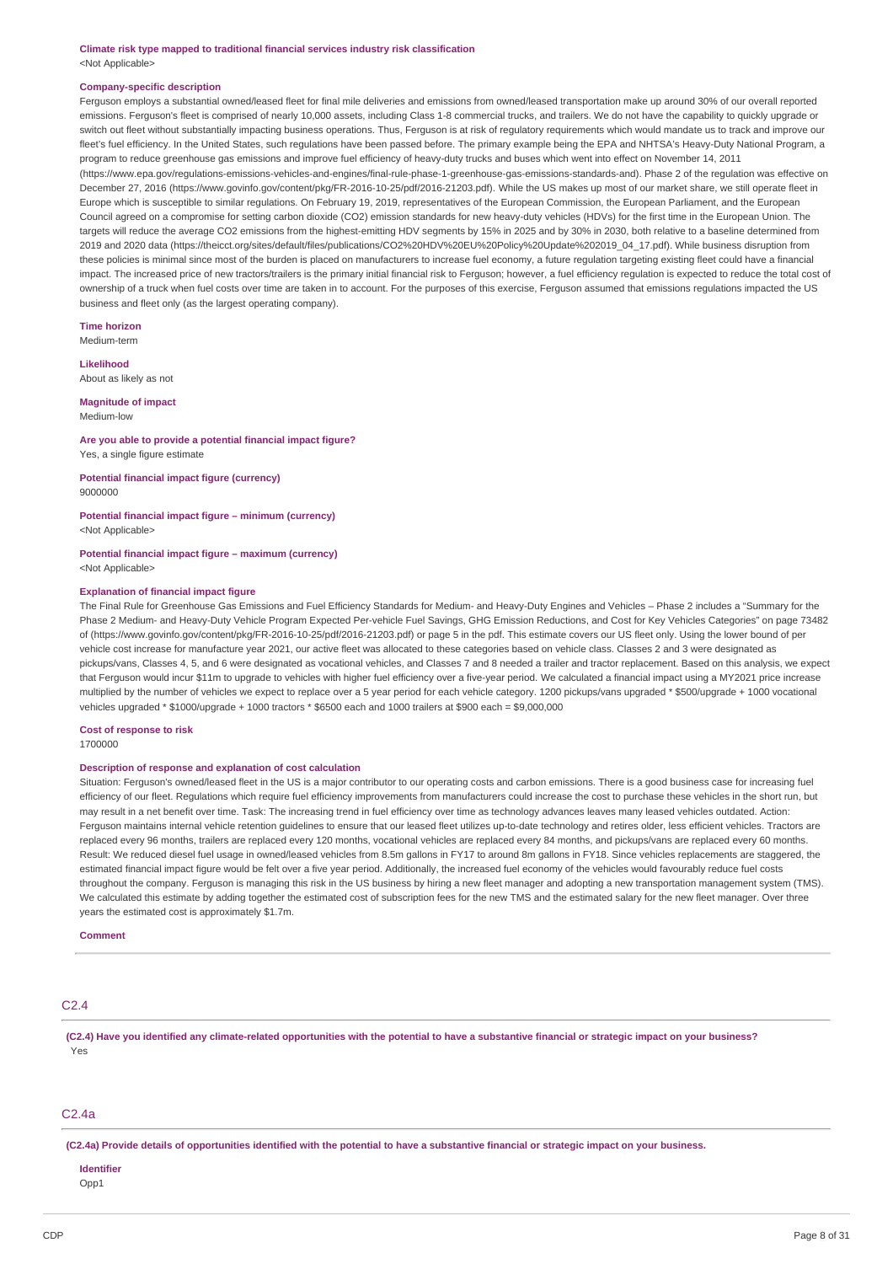**Climate risk type mapped to traditional financial services industry risk classification** <Not Applicable>

#### **Company-specific description**

Ferguson employs a substantial owned/leased fleet for final mile deliveries and emissions from owned/leased transportation make up around 30% of our overall reported emissions. Ferguson's fleet is comprised of nearly 10,000 assets, including Class 1-8 commercial trucks, and trailers. We do not have the capability to quickly upgrade or switch out fleet without substantially impacting business operations. Thus, Ferguson is at risk of regulatory requirements which would mandate us to track and improve our fleet's fuel efficiency. In the United States, such regulations have been passed before. The primary example being the EPA and NHTSA's Heavy-Duty National Program, a program to reduce greenhouse gas emissions and improve fuel efficiency of heavy-duty trucks and buses which went into effect on November 14, 2011 (https://www.epa.gov/regulations-emissions-vehicles-and-engines/final-rule-phase-1-greenhouse-gas-emissions-standards-and). Phase 2 of the regulation was effective on December 27, 2016 (https://www.govinfo.gov/content/pkg/FR-2016-10-25/pdf/2016-21203.pdf). While the US makes up most of our market share, we still operate fleet in Europe which is susceptible to similar regulations. On February 19, 2019, representatives of the European Commission, the European Parliament, and the European Council agreed on a compromise for setting carbon dioxide (CO2) emission standards for new heavy-duty vehicles (HDVs) for the first time in the European Union. The targets will reduce the average CO2 emissions from the highest-emitting HDV segments by 15% in 2025 and by 30% in 2030, both relative to a baseline determined from 2019 and 2020 data (https://theicct.org/sites/default/files/publications/CO2%20HDV%20EU%20Policy%20Update%202019\_04\_17.pdf). While business disruption from these policies is minimal since most of the burden is placed on manufacturers to increase fuel economy, a future regulation targeting existing fleet could have a financial impact. The increased price of new tractors/trailers is the primary initial financial risk to Ferguson; however, a fuel efficiency regulation is expected to reduce the total cost of ownership of a truck when fuel costs over time are taken in to account. For the purposes of this exercise, Ferguson assumed that emissions regulations impacted the US business and fleet only (as the largest operating company).

**Time horizon** Medium-term

**Likelihood** About as likely as not

# **Magnitude of impact**

Medium-low

## **Are you able to provide a potential financial impact figure?**

Yes, a single figure estimate

#### **Potential financial impact figure (currency)** 9000000

# **Potential financial impact figure – minimum (currency)**

<Not Applicable>

# **Potential financial impact figure – maximum (currency)**

<Not Applicable>

#### **Explanation of financial impact figure**

The Final Rule for Greenhouse Gas Emissions and Fuel Efficiency Standards for Medium- and Heavy-Duty Engines and Vehicles – Phase 2 includes a "Summary for the Phase 2 Medium- and Heavy-Duty Vehicle Program Expected Per-vehicle Fuel Savings, GHG Emission Reductions, and Cost for Key Vehicles Categories" on page 73482 of (https://www.govinfo.gov/content/pkg/FR-2016-10-25/pdf/2016-21203.pdf) or page 5 in the pdf. This estimate covers our US fleet only. Using the lower bound of per vehicle cost increase for manufacture year 2021, our active fleet was allocated to these categories based on vehicle class. Classes 2 and 3 were designated as pickups/vans, Classes 4, 5, and 6 were designated as vocational vehicles, and Classes 7 and 8 needed a trailer and tractor replacement. Based on this analysis, we expect that Ferguson would incur \$11m to upgrade to vehicles with higher fuel efficiency over a five-year period. We calculated a financial impact using a MY2021 price increase multiplied by the number of vehicles we expect to replace over a 5 year period for each vehicle category. 1200 pickups/vans upgraded \* \$500/upgrade + 1000 vocational vehicles upgraded \* \$1000/upgrade + 1000 tractors \* \$6500 each and 1000 trailers at \$900 each = \$9,000,000

#### **Cost of response to risk**

1700000

# **Description of response and explanation of cost calculation**

Situation: Ferguson's owned/leased fleet in the US is a major contributor to our operating costs and carbon emissions. There is a good business case for increasing fuel efficiency of our fleet. Regulations which require fuel efficiency improvements from manufacturers could increase the cost to purchase these vehicles in the short run, but may result in a net benefit over time. Task: The increasing trend in fuel efficiency over time as technology advances leaves many leased vehicles outdated. Action: Ferguson maintains internal vehicle retention guidelines to ensure that our leased fleet utilizes up-to-date technology and retires older, less efficient vehicles. Tractors are replaced every 96 months, trailers are replaced every 120 months, vocational vehicles are replaced every 84 months, and pickups/vans are replaced every 60 months. Result: We reduced diesel fuel usage in owned/leased vehicles from 8.5m gallons in FY17 to around 8m gallons in FY18. Since vehicles replacements are staggered, the estimated financial impact figure would be felt over a five year period. Additionally, the increased fuel economy of the vehicles would favourably reduce fuel costs throughout the company. Ferguson is managing this risk in the US business by hiring a new fleet manager and adopting a new transportation management system (TMS). We calculated this estimate by adding together the estimated cost of subscription fees for the new TMS and the estimated salary for the new fleet manager. Over three years the estimated cost is approximately \$1.7m.

**Comment**

#### $C<sub>2</sub>$  4

(C2.4) Have you identified any climate-related opportunities with the potential to have a substantive financial or strategic impact on your business? Yes

#### $C2Aa$

(C2.4a) Provide details of opportunities identified with the potential to have a substantive financial or strategic impact on your business.

# **Identifier**

Opp1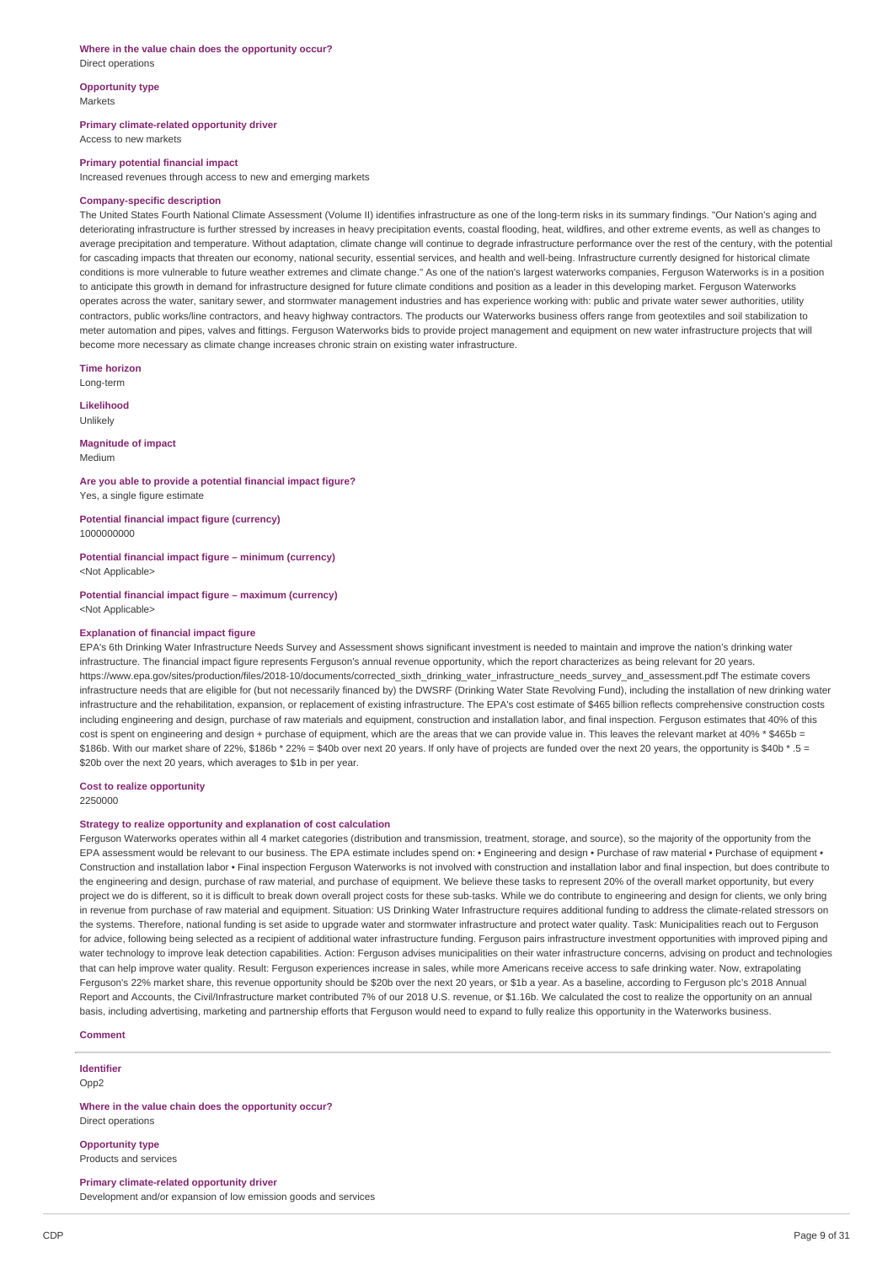#### **Where in the value chain does the opportunity occur?** Direct operations

# **Opportunity type**

Markets

**Primary climate-related opportunity driver**

Access to new markets

#### **Primary potential financial impact**

Increased revenues through access to new and emerging markets

#### **Company-specific description**

The United States Fourth National Climate Assessment (Volume II) identifies infrastructure as one of the long-term risks in its summary findings. "Our Nation's aging and deteriorating infrastructure is further stressed by increases in heavy precipitation events, coastal flooding, heat, wildfires, and other extreme events, as well as changes to average precipitation and temperature. Without adaptation, climate change will continue to degrade infrastructure performance over the rest of the century, with the potential for cascading impacts that threaten our economy, national security, essential services, and health and well-being. Infrastructure currently designed for historical climate conditions is more vulnerable to future weather extremes and climate change." As one of the nation's largest waterworks companies, Ferguson Waterworks is in a position to anticipate this growth in demand for infrastructure designed for future climate conditions and position as a leader in this developing market. Ferguson Waterworks operates across the water, sanitary sewer, and stormwater management industries and has experience working with: public and private water sewer authorities, utility contractors, public works/line contractors, and heavy highway contractors. The products our Waterworks business offers range from geotextiles and soil stabilization to meter automation and pipes, valves and fittings. Ferguson Waterworks bids to provide project management and equipment on new water infrastructure projects that will become more necessary as climate change increases chronic strain on existing water infrastructure.

**Time horizon**

Long-term

**Likelihood** Unlikely

**Magnitude of impact** Medium

**Are you able to provide a potential financial impact figure?** Yes, a single figure estimate

**Potential financial impact figure (currency)** 1000000000

**Potential financial impact figure – minimum (currency)** <Not Applicable>

**Potential financial impact figure – maximum (currency)** <Not Applicable>

#### **Explanation of financial impact figure**

EPA's 6th Drinking Water Infrastructure Needs Survey and Assessment shows significant investment is needed to maintain and improve the nation's drinking water infrastructure. The financial impact figure represents Ferguson's annual revenue opportunity, which the report characterizes as being relevant for 20 years. https://www.epa.gov/sites/production/files/2018-10/documents/corrected\_sixth\_drinking\_water\_infrastructure\_needs\_survey\_and\_assessment.pdf The estimate covers infrastructure needs that are eligible for (but not necessarily financed by) the DWSRF (Drinking Water State Revolving Fund), including the installation of new drinking water infrastructure and the rehabilitation, expansion, or replacement of existing infrastructure. The EPA's cost estimate of \$465 billion reflects comprehensive construction costs including engineering and design, purchase of raw materials and equipment, construction and installation labor, and final inspection. Ferguson estimates that 40% of this cost is spent on engineering and design + purchase of equipment, which are the areas that we can provide value in. This leaves the relevant market at 40% \* \$465b = \$186b. With our market share of 22%, \$186b \* 22% = \$40b over next 20 years. If only have of projects are funded over the next 20 years, the opportunity is \$40b \* .5 = \$20b over the next 20 years, which averages to \$1b in per year.

#### **Cost to realize opportunity**

2250000

#### **Strategy to realize opportunity and explanation of cost calculation**

Ferguson Waterworks operates within all 4 market categories (distribution and transmission, treatment, storage, and source), so the majority of the opportunity from the EPA assessment would be relevant to our business. The EPA estimate includes spend on: • Engineering and design • Purchase of raw material • Purchase of equipment • Construction and installation labor • Final inspection Ferguson Waterworks is not involved with construction and installation labor and final inspection, but does contribute to the engineering and design, purchase of raw material, and purchase of equipment. We believe these tasks to represent 20% of the overall market opportunity, but every project we do is different, so it is difficult to break down overall project costs for these sub-tasks. While we do contribute to engineering and design for clients, we only bring in revenue from purchase of raw material and equipment. Situation: US Drinking Water Infrastructure requires additional funding to address the climate-related stressors on the systems. Therefore, national funding is set aside to upgrade water and stormwater infrastructure and protect water quality. Task: Municipalities reach out to Ferguson for advice, following being selected as a recipient of additional water infrastructure funding. Ferguson pairs infrastructure investment opportunities with improved piping and water technology to improve leak detection capabilities. Action: Ferguson advises municipalities on their water infrastructure concerns, advising on product and technologies that can help improve water quality. Result: Ferguson experiences increase in sales, while more Americans receive access to safe drinking water. Now, extrapolating Ferguson's 22% market share, this revenue opportunity should be \$20b over the next 20 years, or \$1b a year. As a baseline, according to Ferguson plc's 2018 Annual Report and Accounts, the Civil/Infrastructure market contributed 7% of our 2018 U.S. revenue, or \$1.16b. We calculated the cost to realize the opportunity on an annual basis, including advertising, marketing and partnership efforts that Ferguson would need to expand to fully realize this opportunity in the Waterworks business.

#### **Comment**

**Identifier**

Opp2

**Where in the value chain does the opportunity occur?** Direct operations

**Opportunity type** Products and services

**Primary climate-related opportunity driver** Development and/or expansion of low emission goods and services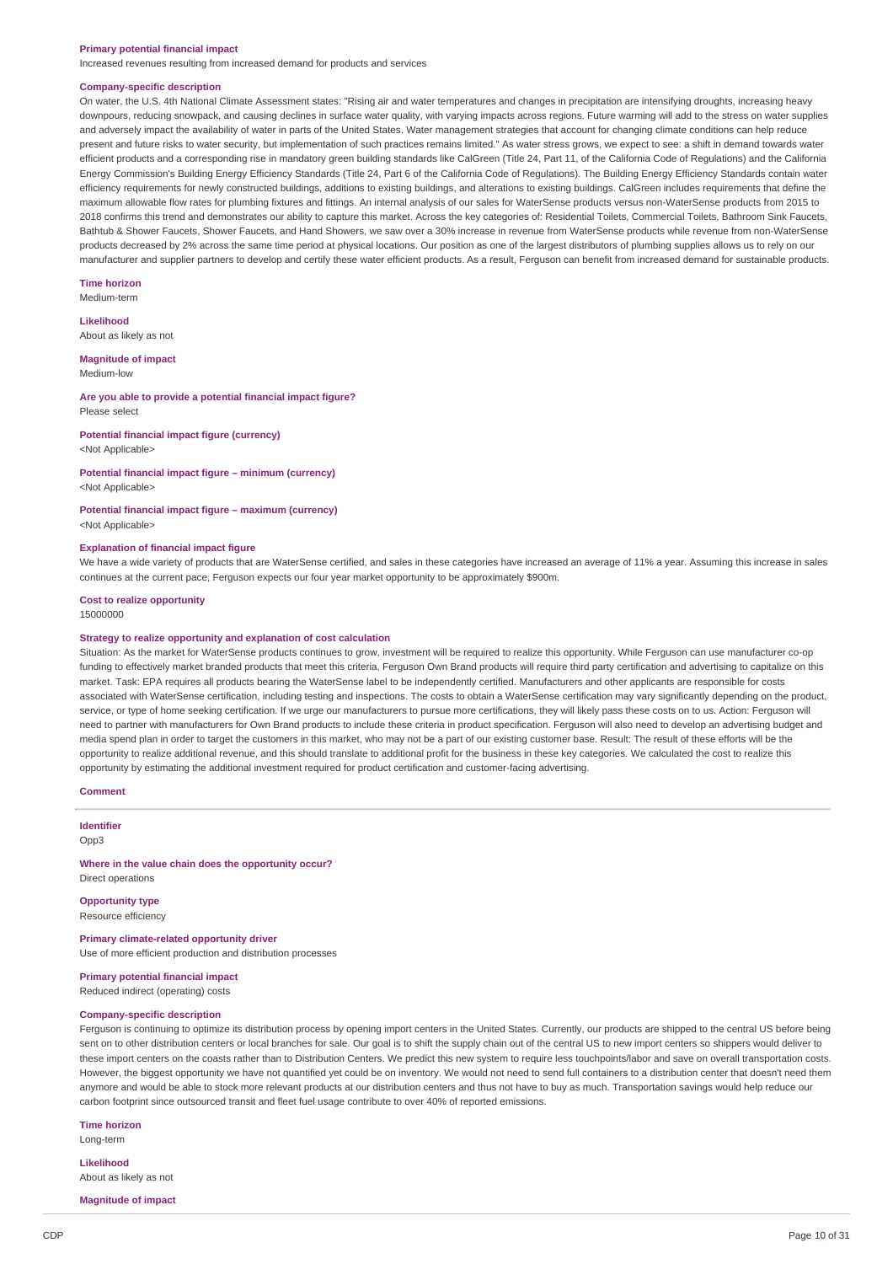#### **Primary potential financial impact**

Increased revenues resulting from increased demand for products and services

#### **Company-specific description**

On water, the U.S. 4th National Climate Assessment states: "Rising air and water temperatures and changes in precipitation are intensifying droughts, increasing heavy downpours, reducing snowpack, and causing declines in surface water quality, with varying impacts across regions. Future warming will add to the stress on water supplies and adversely impact the availability of water in parts of the United States. Water management strategies that account for changing climate conditions can help reduce present and future risks to water security, but implementation of such practices remains limited." As water stress grows, we expect to see: a shift in demand towards water efficient products and a corresponding rise in mandatory green building standards like CalGreen (Title 24, Part 11, of the California Code of Regulations) and the California Energy Commission's Building Energy Efficiency Standards (Title 24, Part 6 of the California Code of Regulations). The Building Energy Efficiency Standards contain water efficiency requirements for newly constructed buildings, additions to existing buildings, and alterations to existing buildings. CalGreen includes requirements that define the maximum allowable flow rates for plumbing fixtures and fittings. An internal analysis of our sales for WaterSense products versus non-WaterSense products from 2015 to 2018 confirms this trend and demonstrates our ability to capture this market. Across the key categories of: Residential Toilets, Commercial Toilets, Bathroom Sink Faucets, Bathtub & Shower Faucets, Shower Faucets, and Hand Showers, we saw over a 30% increase in revenue from WaterSense products while revenue from non-WaterSense products decreased by 2% across the same time period at physical locations. Our position as one of the largest distributors of plumbing supplies allows us to rely on our manufacturer and supplier partners to develop and certify these water efficient products. As a result, Ferguson can benefit from increased demand for sustainable products.

#### **Time horizon**

Medium-term

#### **Likelihood**

About as likely as not

#### **Magnitude of impact**

Medium-low

#### **Are you able to provide a potential financial impact figure?** Please select

# **Potential financial impact figure (currency)**

<Not Applicable>

**Potential financial impact figure – minimum (currency)** <Not Applicable>

#### **Potential financial impact figure – maximum (currency)** <Not Applicable>

#### **Explanation of financial impact figure**

We have a wide variety of products that are WaterSense certified, and sales in these categories have increased an average of 11% a year. Assuming this increase in sales continues at the current pace, Ferguson expects our four year market opportunity to be approximately \$900m.

# **Cost to realize opportunity**

15000000

#### **Strategy to realize opportunity and explanation of cost calculation**

Situation: As the market for WaterSense products continues to grow, investment will be required to realize this opportunity. While Ferguson can use manufacturer co-op funding to effectively market branded products that meet this criteria, Ferguson Own Brand products will require third party certification and advertising to capitalize on this market. Task: EPA requires all products bearing the WaterSense label to be independently certified. Manufacturers and other applicants are responsible for costs associated with WaterSense certification, including testing and inspections. The costs to obtain a WaterSense certification may vary significantly depending on the product, service, or type of home seeking certification. If we urge our manufacturers to pursue more certifications, they will likely pass these costs on to us. Action: Ferguson will need to partner with manufacturers for Own Brand products to include these criteria in product specification. Ferguson will also need to develop an advertising budget and media spend plan in order to target the customers in this market, who may not be a part of our existing customer base. Result: The result of these efforts will be the opportunity to realize additional revenue, and this should translate to additional profit for the business in these key categories. We calculated the cost to realize this opportunity by estimating the additional investment required for product certification and customer-facing advertising.

#### **Comment**

**Identifier**

Opp3

#### **Where in the value chain does the opportunity occur?** Direct operations

**Opportunity type** Resource efficiency

**Primary climate-related opportunity driver** Use of more efficient production and distribution processes

# **Primary potential financial impact**

Reduced indirect (operating) costs

# **Company-specific description**

Ferguson is continuing to optimize its distribution process by opening import centers in the United States. Currently, our products are shipped to the central US before being sent on to other distribution centers or local branches for sale. Our goal is to shift the supply chain out of the central US to new import centers so shippers would deliver to these import centers on the coasts rather than to Distribution Centers. We predict this new system to require less touchpoints/labor and save on overall transportation costs. However, the biggest opportunity we have not quantified yet could be on inventory. We would not need to send full containers to a distribution center that doesn't need them anymore and would be able to stock more relevant products at our distribution centers and thus not have to buy as much. Transportation savings would help reduce our carbon footprint since outsourced transit and fleet fuel usage contribute to over 40% of reported emissions.

#### **Time horizon**

Long-term

**Likelihood** About as likely as not

#### **Magnitude of impact**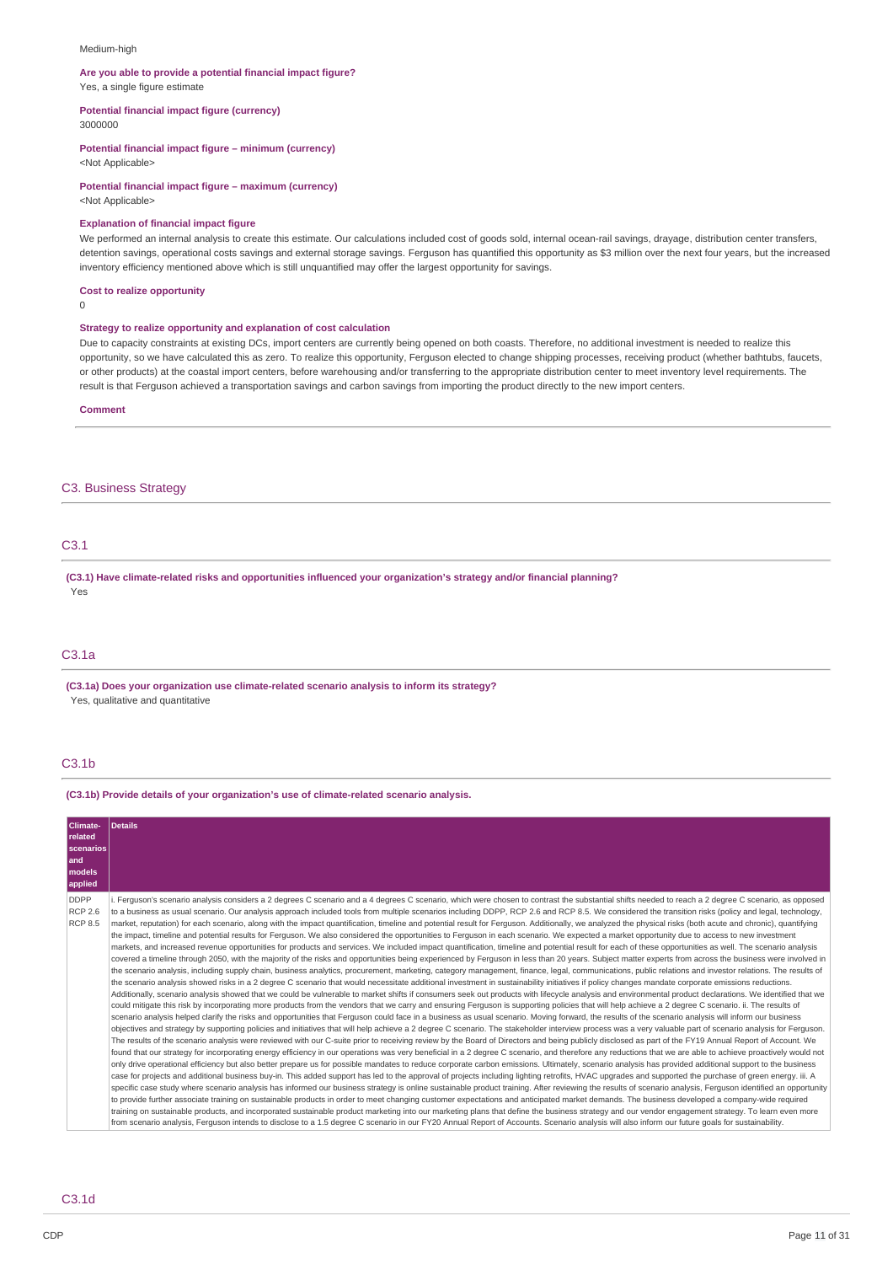#### Medium-high

# **Are you able to provide a potential financial impact figure?**

Yes, a single figure estimate

**Potential financial impact figure (currency)**

3000000

#### **Potential financial impact figure – minimum (currency)**

<Not Applicable>

# **Potential financial impact figure – maximum (currency)**

<Not Applicable>

#### **Explanation of financial impact figure**

We performed an internal analysis to create this estimate. Our calculations included cost of goods sold, internal ocean-rail savings, drayage, distribution center transfers, detention savings, operational costs savings and external storage savings. Ferguson has quantified this opportunity as \$3 million over the next four years, but the increased inventory efficiency mentioned above which is still unquantified may offer the largest opportunity for savings.

#### **Cost to realize opportunity**

 $\Omega$ 

#### **Strategy to realize opportunity and explanation of cost calculation**

Due to capacity constraints at existing DCs, import centers are currently being opened on both coasts. Therefore, no additional investment is needed to realize this opportunity, so we have calculated this as zero. To realize this opportunity, Ferguson elected to change shipping processes, receiving product (whether bathtubs, faucets, or other products) at the coastal import centers, before warehousing and/or transferring to the appropriate distribution center to meet inventory level requirements. The result is that Ferguson achieved a transportation savings and carbon savings from importing the product directly to the new import centers.

**Comment**

#### C3. Business Strategy

# C3.1

**(C3.1) Have climate-related risks and opportunities influenced your organization's strategy and/or financial planning?** Yes

# C3.1a

**(C3.1a) Does your organization use climate-related scenario analysis to inform its strategy?** Yes, qualitative and quantitative

# C3.1b

### **(C3.1b) Provide details of your organization's use of climate-related scenario analysis.**

| Climate-       | Details                                                                                                                                                                                                     |
|----------------|-------------------------------------------------------------------------------------------------------------------------------------------------------------------------------------------------------------|
| related        |                                                                                                                                                                                                             |
| scenarios      |                                                                                                                                                                                                             |
| and            |                                                                                                                                                                                                             |
| models         |                                                                                                                                                                                                             |
|                |                                                                                                                                                                                                             |
| applied        |                                                                                                                                                                                                             |
| <b>DDPP</b>    | Ferguson's scenario analysis considers a 2 degrees C scenario and a 4 degrees C scenario, which were chosen to contrast the substantial shifts needed to reach a 2 degree C scenario, as opposed            |
| <b>RCP 2.6</b> | to a business as usual scenario. Our analysis approach included tools from multiple scenarios including DDPP, RCP 2.6 and RCP 8.5. We considered the transition risks (policy and legal, technology,        |
| <b>RCP 8.5</b> | market, reputation) for each scenario, along with the impact quantification, timeline and potential result for Ferguson. Additionally, we analyzed the physical risks (both acute and chronic), quantifying |
|                | the impact, timeline and potential results for Ferguson. We also considered the opportunities to Ferguson in each scenario. We expected a market opportunity due to access to new investment                |
|                | markets, and increased revenue opportunities for products and services. We included impact quantification, timeline and potential result for each of these opportunities as well. The scenario analysis     |
|                | covered a timeline through 2050, with the majority of the risks and opportunities being experienced by Ferguson in less than 20 years. Subject matter experts from across the business were involved in     |
|                | the scenario analysis, including supply chain, business analytics, procurement, marketing, category management, finance, legal, communications, public relations and investor relations. The results of     |
|                | the scenario analysis showed risks in a 2 degree C scenario that would necessitate additional investment in sustainability initiatives if policy changes mandate corporate emissions reductions.            |
|                | Additionally, scenario analysis showed that we could be vulnerable to market shifts if consumers seek out products with lifecycle analysis and environmental product declarations. We identified that we    |
|                | could mitigate this risk by incorporating more products from the vendors that we carry and ensuring Ferguson is supporting policies that will help achieve a 2 degree C scenario. ii. The results of        |
|                | scenario analysis helped clarify the risks and opportunities that Ferquson could face in a business as usual scenario. Moving forward, the results of the scenario analysis will inform our business        |
|                | objectives and strategy by supporting policies and initiatives that will help achieve a 2 degree C scenario. The stakeholder interview process was a very valuable part of scenario analysis for Ferguson.  |
|                | The results of the scenario analysis were reviewed with our C-suite prior to receiving review by the Board of Directors and being publicly disclosed as part of the FY19 Annual Report of Account. We       |
|                | found that our strategy for incorporating energy efficiency in our operations was very beneficial in a 2 degree C scenario, and therefore any reductions that we are able to achieve proactively would not  |
|                | only drive operational efficiency but also better prepare us for possible mandates to reduce corporate carbon emissions. Ultimately, scenario analysis has provided additional support to the business      |
|                | case for projects and additional business buy-in. This added support has led to the approval of projects including lighting retrofits, HVAC upgrades and supported the purchase of green energy. iii. A     |
|                | specific case study where scenario analysis has informed our business strategy is online sustainable product training. After reviewing the results of scenario analysis, Ferguson identified an opportunity |
|                | to provide further associate training on sustainable products in order to meet changing customer expectations and anticipated market demands. The business developed a company-wide required                |
|                | training on sustainable products, and incorporated sustainable product marketing into our marketing plans that define the business strategy and our vendor engagement strategy. To learn even more          |
|                | from scenario analysis, Ferguson intends to disclose to a 1.5 degree C scenario in our FY20 Annual Report of Accounts. Scenario analysis will also inform our future goals for sustainability.              |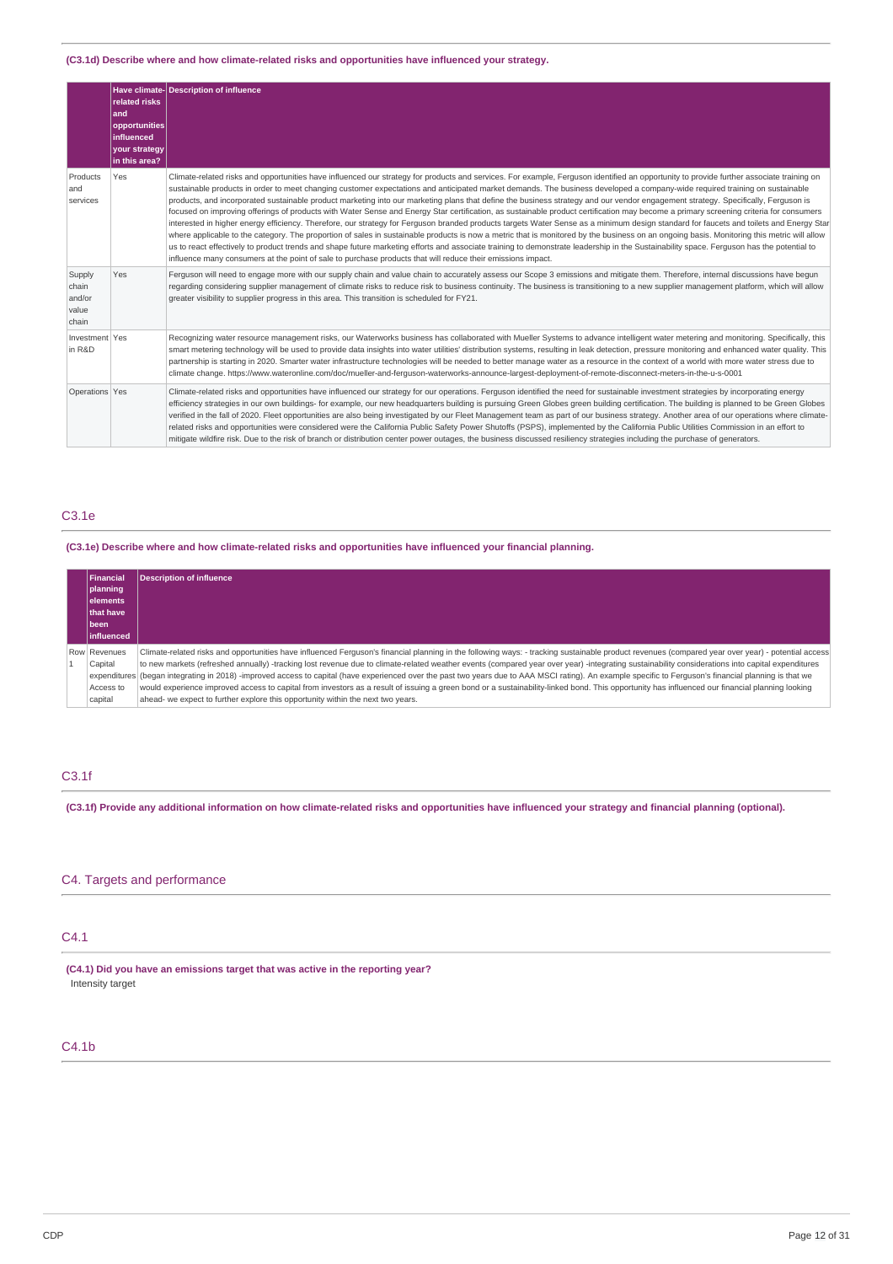### **(C3.1d) Describe where and how climate-related risks and opportunities have influenced your strategy.**

|                                             | related risks<br>and<br>opportunities<br><b>influenced</b><br>your strategy<br>in this area? | Have climate-Description of influence                                                                                                                                                                                                                                                                                                                                                                                                                                                                                                                                                                                                                                                                                                                                                                                                                                                                                                                                                                                                                                                                                                                                                                                                                                                                                                                                                                                                                    |
|---------------------------------------------|----------------------------------------------------------------------------------------------|----------------------------------------------------------------------------------------------------------------------------------------------------------------------------------------------------------------------------------------------------------------------------------------------------------------------------------------------------------------------------------------------------------------------------------------------------------------------------------------------------------------------------------------------------------------------------------------------------------------------------------------------------------------------------------------------------------------------------------------------------------------------------------------------------------------------------------------------------------------------------------------------------------------------------------------------------------------------------------------------------------------------------------------------------------------------------------------------------------------------------------------------------------------------------------------------------------------------------------------------------------------------------------------------------------------------------------------------------------------------------------------------------------------------------------------------------------|
| Products<br>and<br>services                 | Yes                                                                                          | Climate-related risks and opportunities have influenced our strategy for products and services. For example, Ferguson identified an opportunity to provide further associate training on<br>sustainable products in order to meet changing customer expectations and anticipated market demands. The business developed a company-wide required training on sustainable<br>products, and incorporated sustainable product marketing into our marketing plans that define the business strategy and our vendor engagement strategy. Specifically, Ferguson is<br>focused on improving offerings of products with Water Sense and Energy Star certification, as sustainable product certification may become a primary screening criteria for consumers<br>interested in higher energy efficiency. Therefore, our strategy for Ferguson branded products targets Water Sense as a minimum design standard for faucets and toilets and Energy Star<br>where applicable to the category. The proportion of sales in sustainable products is now a metric that is monitored by the business on an ongoing basis. Monitoring this metric will allow<br>us to react effectively to product trends and shape future marketing efforts and associate training to demonstrate leadership in the Sustainability space. Ferguson has the potential to<br>influence many consumers at the point of sale to purchase products that will reduce their emissions impact. |
| Supply<br>chain<br>and/or<br>value<br>chain | Yes                                                                                          | Ferguson will need to engage more with our supply chain and value chain to accurately assess our Scope 3 emissions and mitigate them. Therefore, internal discussions have begun<br>regarding considering supplier management of climate risks to reduce risk to business continuity. The business is transitioning to a new supplier management platform, which will allow<br>greater visibility to supplier progress in this area. This transition is scheduled for FY21.                                                                                                                                                                                                                                                                                                                                                                                                                                                                                                                                                                                                                                                                                                                                                                                                                                                                                                                                                                              |
| Investment Yes<br>in R&D                    |                                                                                              | Recognizing water resource management risks, our Waterworks business has collaborated with Mueller Systems to advance intelligent water metering and monitoring. Specifically, this<br>smart metering technology will be used to provide data insights into water utilities' distribution systems, resulting in leak detection, pressure monitoring and enhanced water quality. This<br>partnership is starting in 2020. Smarter water infrastructure technologies will be needed to better manage water as a resource in the context of a world with more water stress due to<br>climate change. https://www.wateronline.com/doc/mueller-and-ferguson-waterworks-announce-largest-deployment-of-remote-disconnect-meters-in-the-u-s-0001                                                                                                                                                                                                                                                                                                                                                                                                                                                                                                                                                                                                                                                                                                                |
| Operations Yes                              |                                                                                              | Climate-related risks and opportunities have influenced our strategy for our operations. Ferguson identified the need for sustainable investment strategies by incorporating energy<br>efficiency strategies in our own buildings- for example, our new headquarters building is pursuing Green Globes green building certification. The building is planned to be Green Globes<br>verified in the fall of 2020. Fleet opportunities are also being investigated by our Fleet Management team as part of our business strategy. Another area of our operations where climate-<br>related risks and opportunities were considered were the California Public Safety Power Shutoffs (PSPS), implemented by the California Public Utilities Commission in an effort to<br>mitigate wildfire risk. Due to the risk of branch or distribution center power outages, the business discussed resiliency strategies including the purchase of generators.                                                                                                                                                                                                                                                                                                                                                                                                                                                                                                        |

# C3.1e

### **(C3.1e) Describe where and how climate-related risks and opportunities have influenced your financial planning.**

| Financial          | <b>Description of influence</b>                                                                                                                                                                         |
|--------------------|---------------------------------------------------------------------------------------------------------------------------------------------------------------------------------------------------------|
| planning           |                                                                                                                                                                                                         |
| l elements         |                                                                                                                                                                                                         |
| <b>Ithat have</b>  |                                                                                                                                                                                                         |
| been               |                                                                                                                                                                                                         |
| <b>linfluenced</b> |                                                                                                                                                                                                         |
| Row Revenues       | Climate-related risks and opportunities have influenced Ferquson's financial planning in the following ways: - tracking sustainable product revenues (compared year over year) - potential access       |
| Capital            | to new markets (refreshed annually) -tracking lost revenue due to climate-related weather events (compared year over year) -integrating sustainability considerations into capital expenditures         |
|                    | expenditures (began integrating in 2018) -improved access to capital (have experienced over the past two years due to AAA MSCI rating). An example specific to Ferguson's financial planning is that we |
| Access to          | would experience improved access to capital from investors as a result of issuing a green bond or a sustainability-linked bond. This opportunity has influenced our financial planning looking          |
| capital            | ahead- we expect to further explore this opportunity within the next two years.                                                                                                                         |

# C3.1f

(C3.1f) Provide any additional information on how climate-related risks and opportunities have influenced your strategy and financial planning (optional).

# C4. Targets and performance

# C4.1

**(C4.1) Did you have an emissions target that was active in the reporting year?** Intensity target

# C4.1b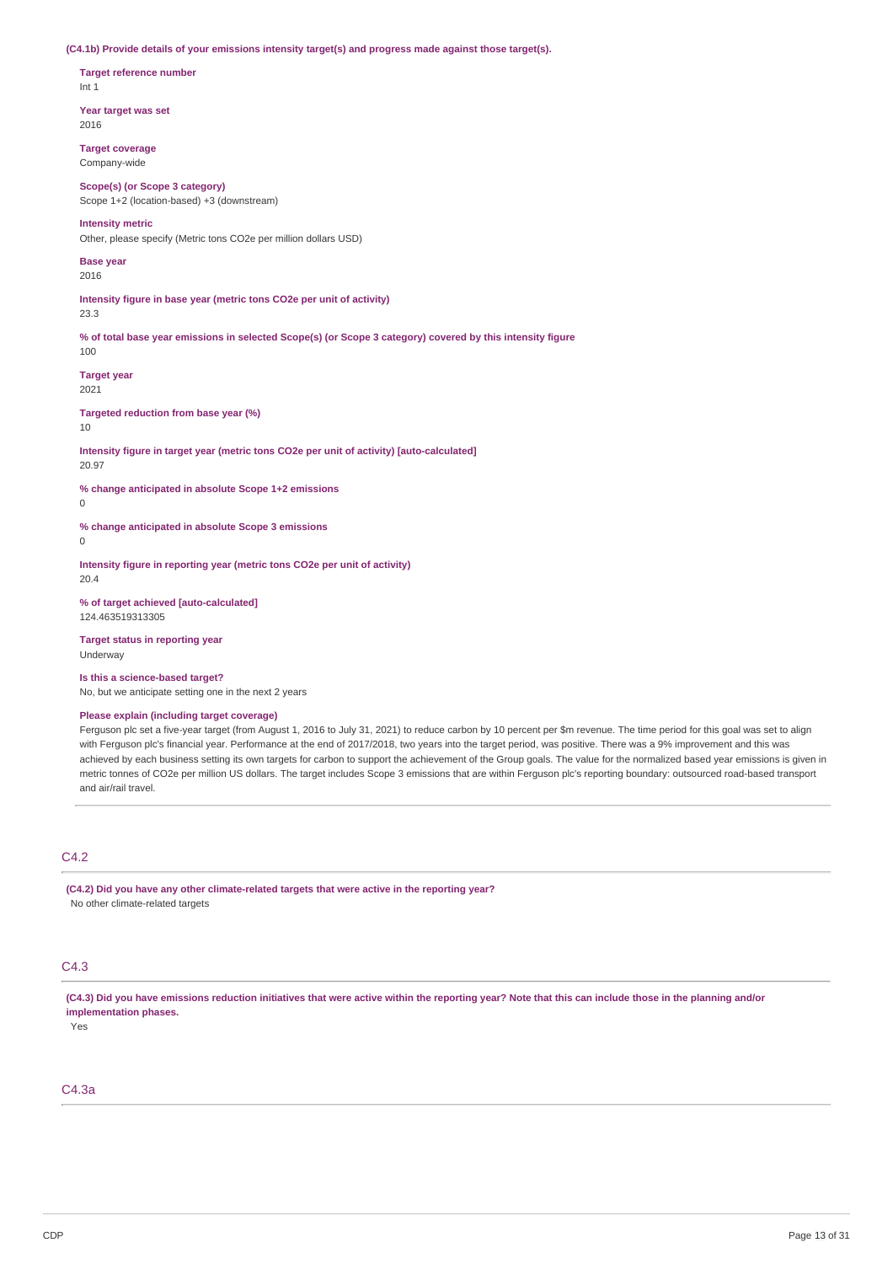**(C4.1b) Provide details of your emissions intensity target(s) and progress made against those target(s).**

**Target reference number** Int 1

**Year target was set** 2016

**Target coverage** Company-wide

**Scope(s) (or Scope 3 category)** Scope 1+2 (location-based) +3 (downstream)

#### **Intensity metric**

Other, please specify (Metric tons CO2e per million dollars USD)

**Base year** 2016

**Intensity figure in base year (metric tons CO2e per unit of activity)** 23.3

% of total base year emissions in selected Scope(s) (or Scope 3 category) covered by this intensity figure 100

**Target year** 2021

**Targeted reduction from base year (%)**

10

**Intensity figure in target year (metric tons CO2e per unit of activity) [auto-calculated]** 20.97

**% change anticipated in absolute Scope 1+2 emissions**

 $\theta$ 

**% change anticipated in absolute Scope 3 emissions**

 $\Omega$ 

**Intensity figure in reporting year (metric tons CO2e per unit of activity)** 20.4

**% of target achieved [auto-calculated]** 124.463519313305

**Target status in reporting year** Underway

**Is this a science-based target?**

No, but we anticipate setting one in the next 2 years

## **Please explain (including target coverage)**

Ferguson plc set a five-year target (from August 1, 2016 to July 31, 2021) to reduce carbon by 10 percent per \$m revenue. The time period for this goal was set to align with Ferguson plc's financial year. Performance at the end of 2017/2018, two years into the target period, was positive. There was a 9% improvement and this was achieved by each business setting its own targets for carbon to support the achievement of the Group goals. The value for the normalized based year emissions is given in metric tonnes of CO2e per million US dollars. The target includes Scope 3 emissions that are within Ferguson plc's reporting boundary: outsourced road-based transport and air/rail travel.

# C4.2

**(C4.2) Did you have any other climate-related targets that were active in the reporting year?** No other climate-related targets

# C4.3

(C4.3) Did you have emissions reduction initiatives that were active within the reporting year? Note that this can include those in the planning and/or **implementation phases.**

Yes

# C4.3a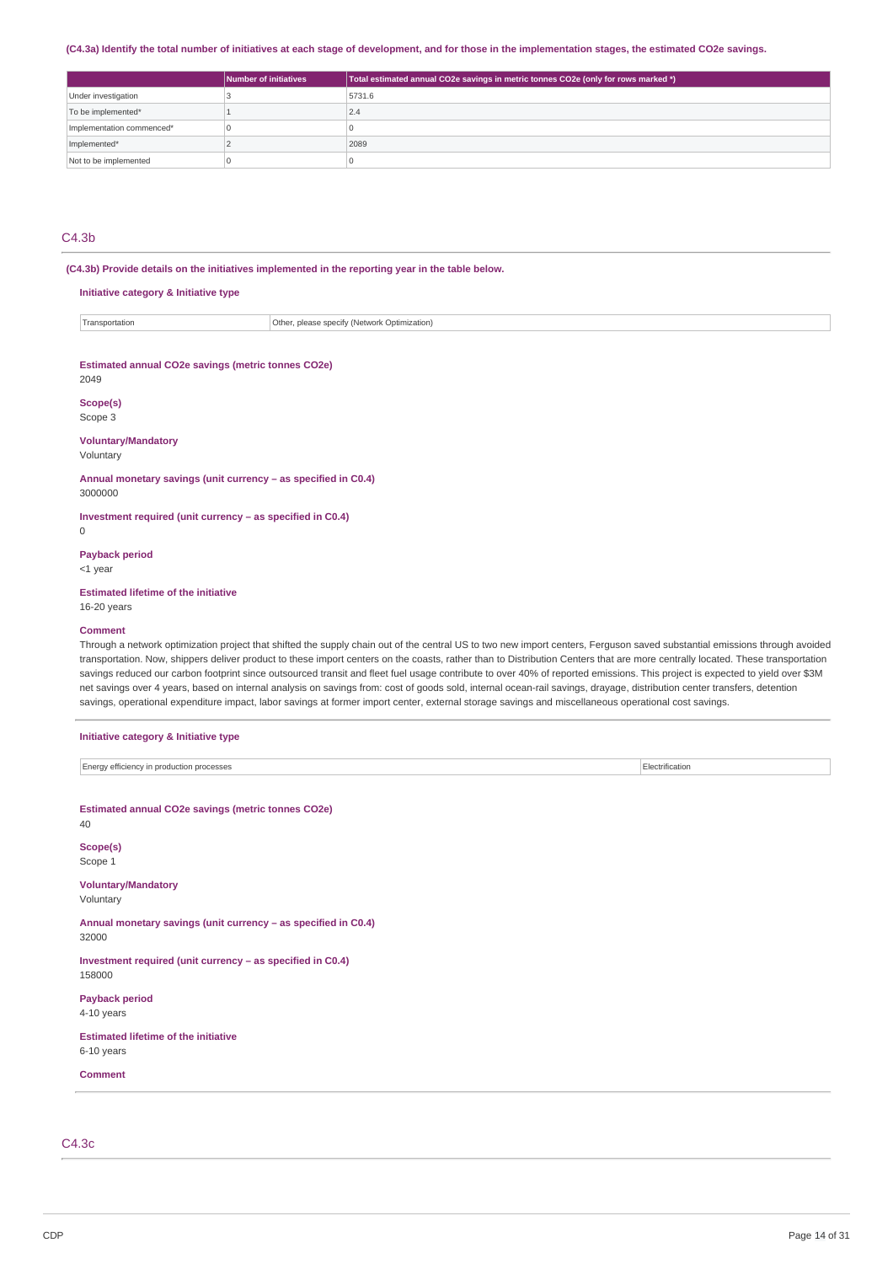#### (C4.3a) Identify the total number of initiatives at each stage of development, and for those in the implementation stages, the estimated CO2e savings.

|                           | Number of initiatives | Total estimated annual CO2e savings in metric tonnes CO2e (only for rows marked *) |
|---------------------------|-----------------------|------------------------------------------------------------------------------------|
| Under investigation       |                       | 5731.6                                                                             |
| To be implemented*        |                       | 2.4                                                                                |
| Implementation commenced* |                       |                                                                                    |
| Implemented*              |                       | 2089                                                                               |
| Not to be implemented     |                       |                                                                                    |

# C4.3b

**(C4.3b) Provide details on the initiatives implemented in the reporting year in the table below.**

## **Initiative category & Initiative type**

| Transportation | Other<br>Optimization<br>' (Natwork<br>please.<br>r chocitu.<br>1195198111 |
|----------------|----------------------------------------------------------------------------|
|----------------|----------------------------------------------------------------------------|

#### **Estimated annual CO2e savings (metric tonnes CO2e)** 2049

**Scope(s)**

# Scope 3

#### **Voluntary/Mandatory**

Voluntary

**Annual monetary savings (unit currency – as specified in C0.4)** 3000000

**Investment required (unit currency – as specified in C0.4)**  $\theta$ 

**Payback period**

<1 year

# **Estimated lifetime of the initiative**

16-20 years

### **Comment**

Through a network optimization project that shifted the supply chain out of the central US to two new import centers, Ferguson saved substantial emissions through avoided transportation. Now, shippers deliver product to these import centers on the coasts, rather than to Distribution Centers that are more centrally located. These transportation savings reduced our carbon footprint since outsourced transit and fleet fuel usage contribute to over 40% of reported emissions. This project is expected to yield over \$3M net savings over 4 years, based on internal analysis on savings from: cost of goods sold, internal ocean-rail savings, drayage, distribution center transfers, detention savings, operational expenditure impact, labor savings at former import center, external storage savings and miscellaneous operational cost savings.

# **Initiative category & Initiative type** Energy efficiency in production processes Electrification **Estimated annual CO2e savings (metric tonnes CO2e)** 40 **Scope(s)** Scope 1 **Voluntary/Mandatory** Voluntary **Annual monetary savings (unit currency – as specified in C0.4)** 32000 **Investment required (unit currency – as specified in C0.4)** 158000 **Payback period** 4-10 years **Estimated lifetime of the initiative** 6-10 years **Comment**

C4.3c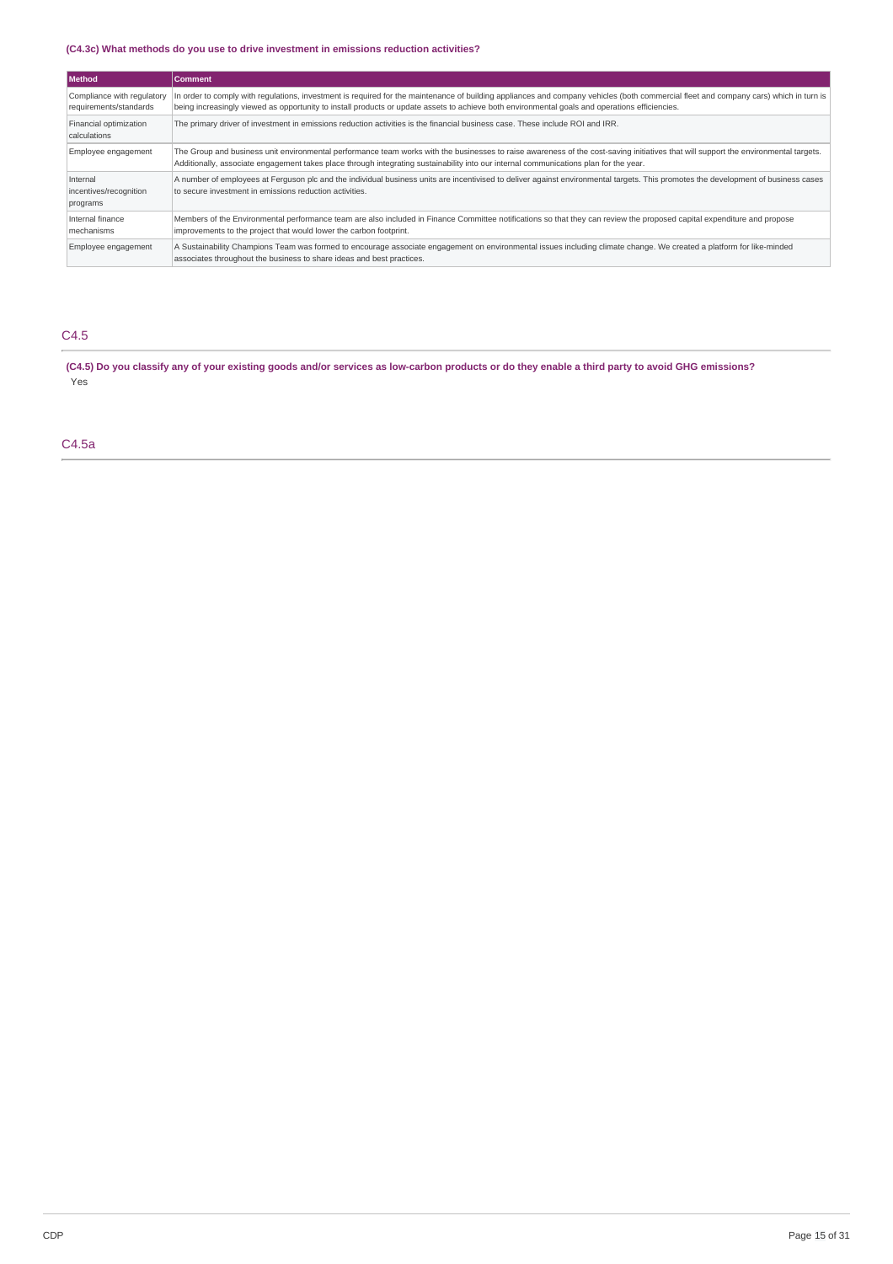# **(C4.3c) What methods do you use to drive investment in emissions reduction activities?**

| l Method                                             | <b>Comment</b>                                                                                                                                                                                                                                                                                                                          |
|------------------------------------------------------|-----------------------------------------------------------------------------------------------------------------------------------------------------------------------------------------------------------------------------------------------------------------------------------------------------------------------------------------|
| Compliance with regulatory<br>requirements/standards | In order to comply with requlations, investment is required for the maintenance of building appliances and company vehicles (both commercial fleet and company cars) which in turn is<br>being increasingly viewed as opportunity to install products or update assets to achieve both environmental goals and operations efficiencies. |
| Financial optimization<br>calculations               | The primary driver of investment in emissions reduction activities is the financial business case. These include ROI and IRR.                                                                                                                                                                                                           |
| Employee engagement                                  | The Group and business unit environmental performance team works with the businesses to raise awareness of the cost-saving initiatives that will support the environmental targets.<br>Additionally, associate engagement takes place through integrating sustainability into our internal communications plan for the year.            |
| Internal<br>incentives/recognition<br>programs       | A number of employees at Ferguson plc and the individual business units are incentivised to deliver against environmental targets. This promotes the development of business cases<br>to secure investment in emissions reduction activities.                                                                                           |
| Internal finance<br>mechanisms                       | Members of the Environmental performance team are also included in Finance Committee notifications so that they can review the proposed capital expenditure and propose<br>improvements to the project that would lower the carbon footprint.                                                                                           |
| Employee engagement                                  | A Sustainability Champions Team was formed to encourage associate engagement on environmental issues including climate change. We created a platform for like-minded<br>associates throughout the business to share ideas and best practices.                                                                                           |

# C4.5

(C4.5) Do you classify any of your existing goods and/or services as low-carbon products or do they enable a third party to avoid GHG emissions? Yes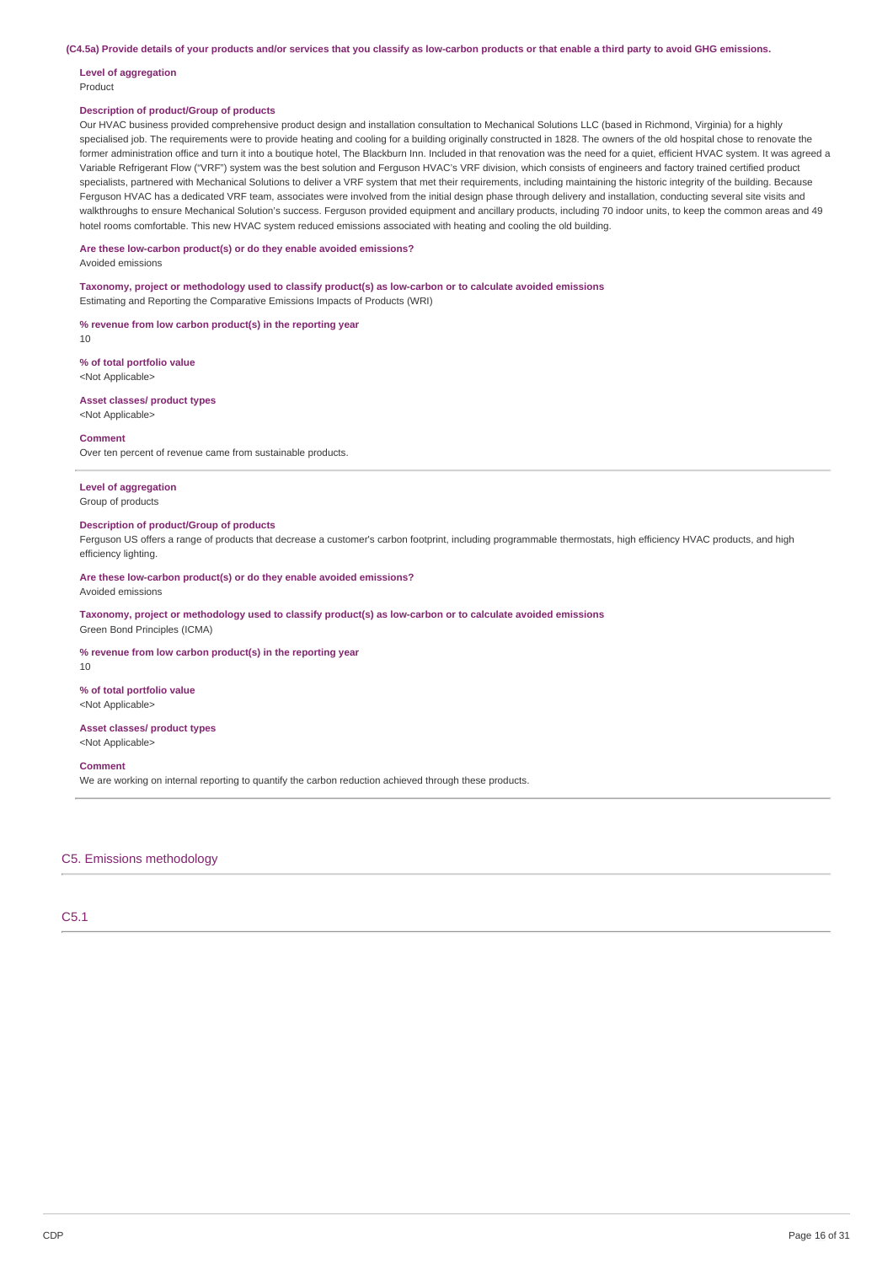(C4.5a) Provide details of your products and/or services that you classify as low-carbon products or that enable a third party to avoid GHG emissions.

#### **Level of aggregation** Product

#### **Description of product/Group of products**

Our HVAC business provided comprehensive product design and installation consultation to Mechanical Solutions LLC (based in Richmond, Virginia) for a highly specialised job. The requirements were to provide heating and cooling for a building originally constructed in 1828. The owners of the old hospital chose to renovate the former administration office and turn it into a boutique hotel, The Blackburn Inn. Included in that renovation was the need for a quiet, efficient HVAC system. It was agreed a Variable Refrigerant Flow ("VRF") system was the best solution and Ferguson HVAC's VRF division, which consists of engineers and factory trained certified product specialists, partnered with Mechanical Solutions to deliver a VRF system that met their requirements, including maintaining the historic integrity of the building. Because Ferguson HVAC has a dedicated VRF team, associates were involved from the initial design phase through delivery and installation, conducting several site visits and walkthroughs to ensure Mechanical Solution's success. Ferguson provided equipment and ancillary products, including 70 indoor units, to keep the common areas and 49 hotel rooms comfortable. This new HVAC system reduced emissions associated with heating and cooling the old building.

# **Are these low-carbon product(s) or do they enable avoided emissions?**

Avoided emissions

**Taxonomy, project or methodology used to classify product(s) as low-carbon or to calculate avoided emissions** Estimating and Reporting the Comparative Emissions Impacts of Products (WRI)

**% revenue from low carbon product(s) in the reporting year** 10

**% of total portfolio value** <Not Applicable>

**Asset classes/ product types** <Not Applicable>

#### **Comment**

Over ten percent of revenue came from sustainable products.

**Level of aggregation** Group of products

#### **Description of product/Group of products**

Ferguson US offers a range of products that decrease a customer's carbon footprint, including programmable thermostats, high efficiency HVAC products, and high efficiency lighting.

**Are these low-carbon product(s) or do they enable avoided emissions?**

Avoided emissions

**Taxonomy, project or methodology used to classify product(s) as low-carbon or to calculate avoided emissions** Green Bond Principles (ICMA)

**% revenue from low carbon product(s) in the reporting year**

10

**% of total portfolio value** <Not Applicable>

#### **Asset classes/ product types** <Not Applicable>

#### **Comment**

We are working on internal reporting to quantify the carbon reduction achieved through these products.

#### C5. Emissions methodology

# C5.1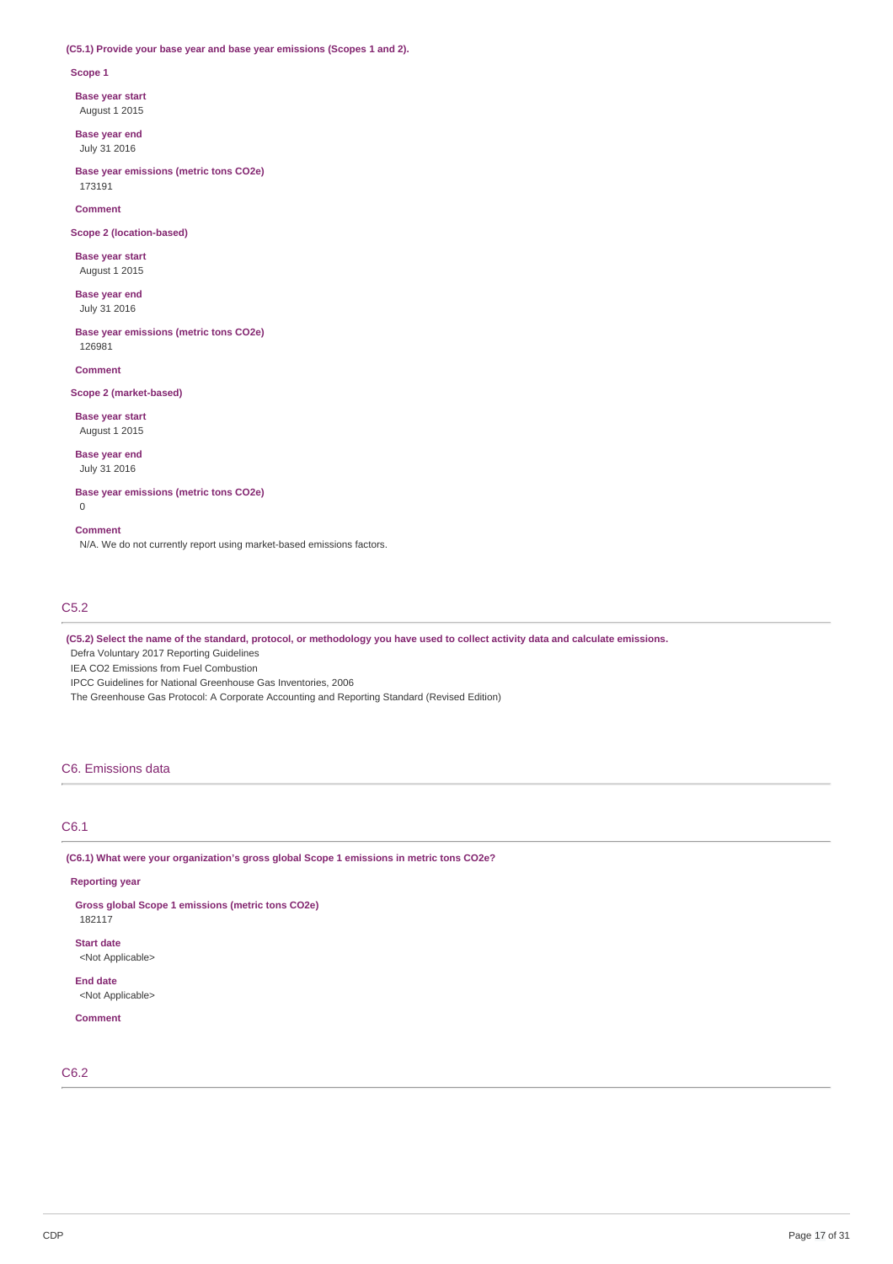### **(C5.1) Provide your base year and base year emissions (Scopes 1 and 2).**

#### **Scope 1**

**Base year start**

August 1 2015

**Base year end** July 31 2016

**Base year emissions (metric tons CO2e)** 173191

#### **Comment**

**Scope 2 (location-based)**

**Base year start** August 1 2015

**Base year end** July 31 2016

**Base year emissions (metric tons CO2e)** 126981

**Comment**

# **Scope 2 (market-based)**

**Base year start** August 1 2015

**Base year end** July 31 2016

# **Base year emissions (metric tons CO2e)**

0

#### **Comment**

N/A. We do not currently report using market-based emissions factors.

# C5.2

(C5.2) Select the name of the standard, protocol, or methodology you have used to collect activity data and calculate emissions.

Defra Voluntary 2017 Reporting Guidelines

IEA CO2 Emissions from Fuel Combustion

IPCC Guidelines for National Greenhouse Gas Inventories, 2006

The Greenhouse Gas Protocol: A Corporate Accounting and Reporting Standard (Revised Edition)

# C6. Emissions data

# C6.1

**(C6.1) What were your organization's gross global Scope 1 emissions in metric tons CO2e?**

### **Reporting year**

**Gross global Scope 1 emissions (metric tons CO2e)** 182117

**Start date**

<Not Applicable>

**End date** <Not Applicable>

#### **Comment**

C6.2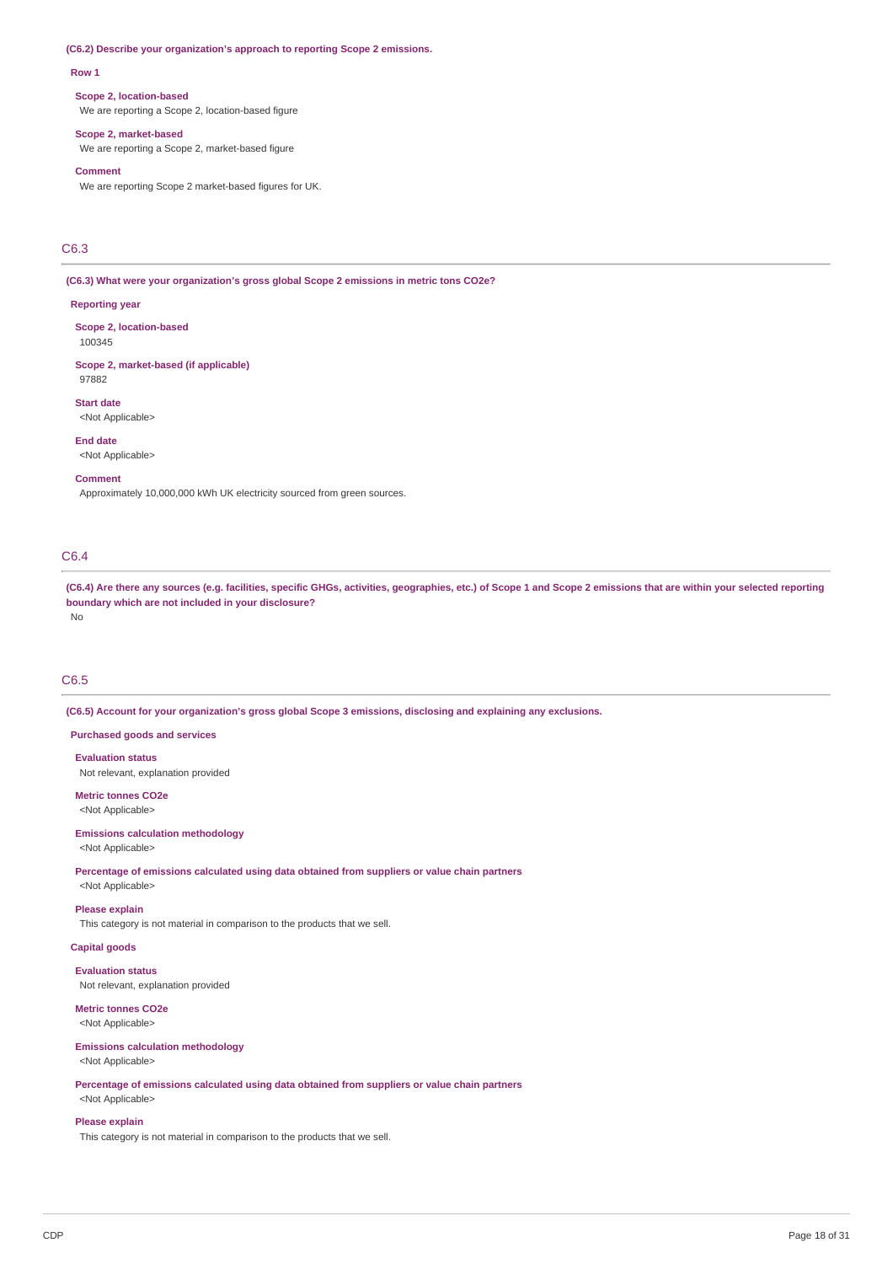#### **(C6.2) Describe your organization's approach to reporting Scope 2 emissions.**

#### **Row 1**

#### **Scope 2, location-based**

We are reporting a Scope 2, location-based figure

#### **Scope 2, market-based**

We are reporting a Scope 2, market-based figure

#### **Comment**

We are reporting Scope 2 market-based figures for UK.

# C6.3

**(C6.3) What were your organization's gross global Scope 2 emissions in metric tons CO2e?**

#### **Reporting year**

**Scope 2, location-based** 100345

**Scope 2, market-based (if applicable)** 97882

**Start date** <Not Applicable>

**End date** <Not Applicable>

#### **Comment**

Approximately 10,000,000 kWh UK electricity sourced from green sources.

# C6.4

(C6.4) Are there any sources (e.g. facilities, specific GHGs, activities, geographies, etc.) of Scope 1 and Scope 2 emissions that are within your selected reporting **boundary which are not included in your disclosure?** No

# C6.5

**(C6.5) Account for your organization's gross global Scope 3 emissions, disclosing and explaining any exclusions.**

## **Purchased goods and services**

**Evaluation status**

Not relevant, explanation provided

**Metric tonnes CO2e** <Not Applicable>

#### **Emissions calculation methodology**

<Not Applicable>

**Percentage of emissions calculated using data obtained from suppliers or value chain partners** <Not Applicable>

#### **Please explain**

This category is not material in comparison to the products that we sell.

# **Capital goods**

**Evaluation status** Not relevant, explanation provided

# **Metric tonnes CO2e**

<Not Applicable>

# **Emissions calculation methodology**

<Not Applicable>

**Percentage of emissions calculated using data obtained from suppliers or value chain partners** <Not Applicable>

#### **Please explain**

This category is not material in comparison to the products that we sell.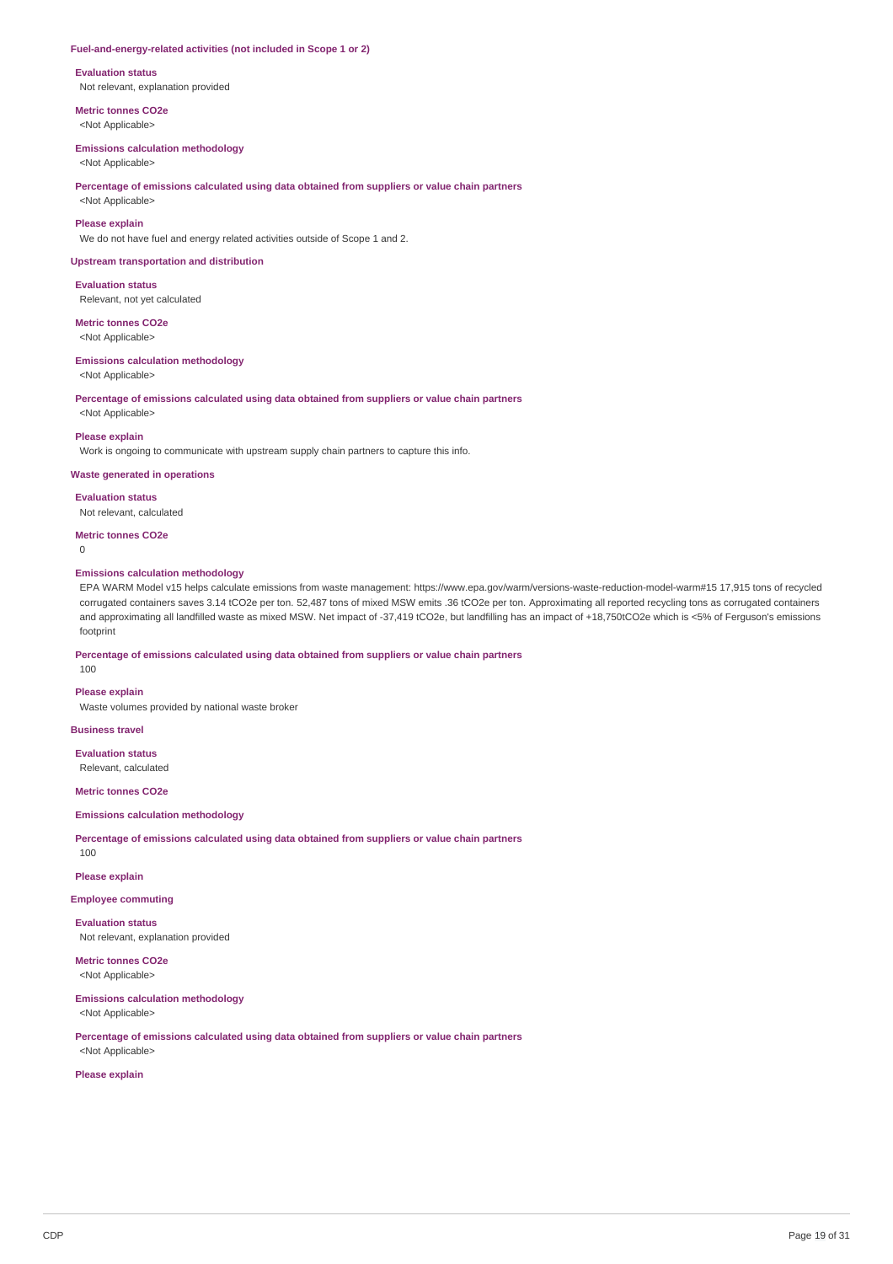#### **Fuel-and-energy-related activities (not included in Scope 1 or 2)**

#### **Evaluation status**

Not relevant, explanation provided

**Metric tonnes CO2e**

# <Not Applicable>

# **Emissions calculation methodology**

<Not Applicable>

#### **Percentage of emissions calculated using data obtained from suppliers or value chain partners**

<Not Applicable>

#### **Please explain**

We do not have fuel and energy related activities outside of Scope 1 and 2.

#### **Upstream transportation and distribution**

**Evaluation status** Relevant, not yet calculated

### **Metric tonnes CO2e**

<Not Applicable>

#### **Emissions calculation methodology**

<Not Applicable>

#### **Percentage of emissions calculated using data obtained from suppliers or value chain partners**

<Not Applicable>

#### **Please explain**

Work is ongoing to communicate with upstream supply chain partners to capture this info.

#### **Waste generated in operations**

**Evaluation status**

Not relevant, calculated

#### **Metric tonnes CO2e**

 $\Omega$ 

#### **Emissions calculation methodology**

EPA WARM Model v15 helps calculate emissions from waste management: https://www.epa.gov/warm/versions-waste-reduction-model-warm#15 17,915 tons of recycled corrugated containers saves 3.14 tCO2e per ton. 52,487 tons of mixed MSW emits .36 tCO2e per ton. Approximating all reported recycling tons as corrugated containers and approximating all landfilled waste as mixed MSW. Net impact of -37,419 tCO2e, but landfilling has an impact of +18,750tCO2e which is <5% of Ferguson's emissions footprint

#### **Percentage of emissions calculated using data obtained from suppliers or value chain partners**

100

# **Please explain**

Waste volumes provided by national waste broker

# **Business travel**

**Evaluation status**

Relevant, calculated

# **Metric tonnes CO2e**

# **Emissions calculation methodology**

**Percentage of emissions calculated using data obtained from suppliers or value chain partners** 100

#### **Please explain**

**Employee commuting**

# **Evaluation status**

Not relevant, explanation provided

# **Metric tonnes CO2e** <Not Applicable>

**Emissions calculation methodology** <Not Applicable>

**Percentage of emissions calculated using data obtained from suppliers or value chain partners**

# <Not Applicable> **Please explain**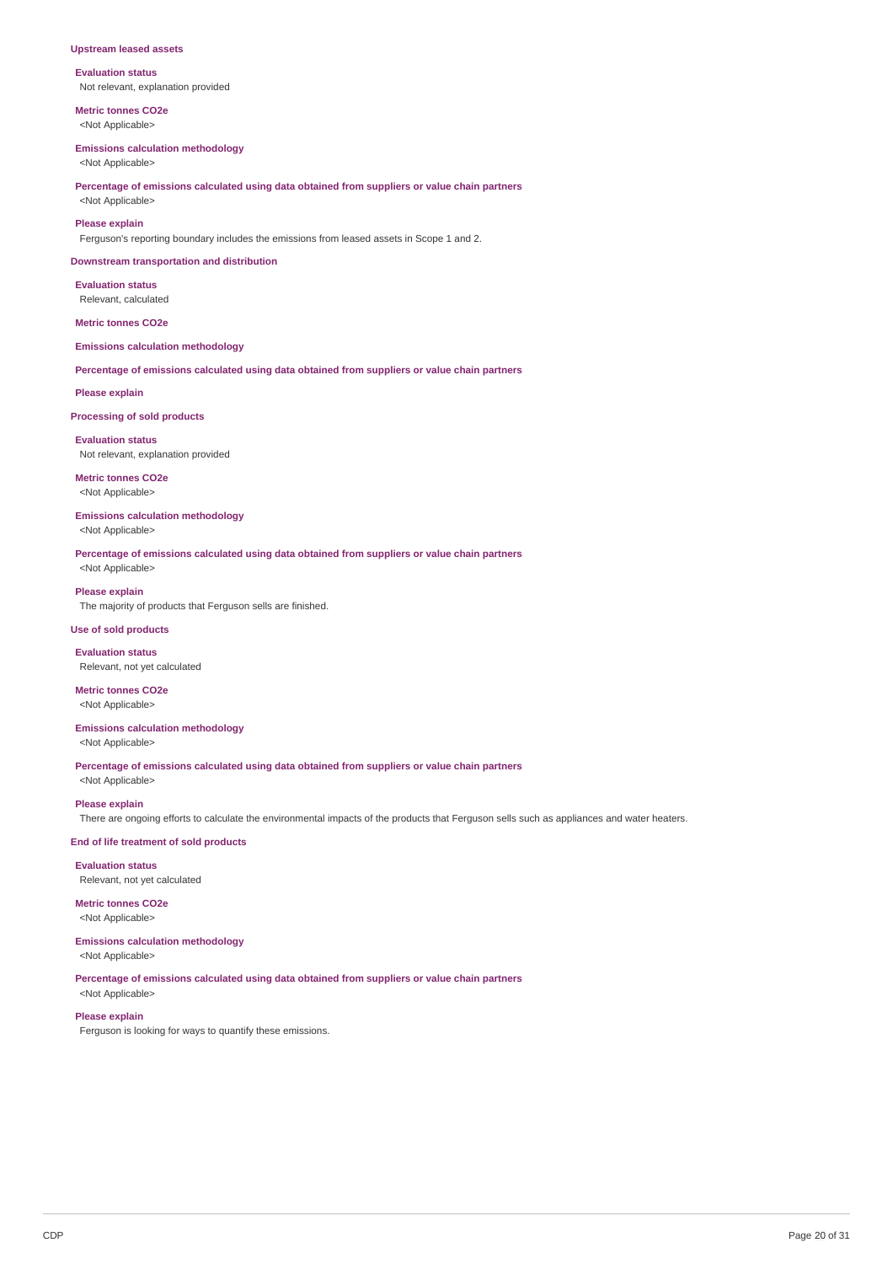#### **Upstream leased assets**

**Evaluation status** Not relevant, explanation provided

**Metric tonnes CO2e** <Not Applicable>

#### **Emissions calculation methodology**

<Not Applicable>

**Percentage of emissions calculated using data obtained from suppliers or value chain partners** <Not Applicable>

#### **Please explain**

Ferguson's reporting boundary includes the emissions from leased assets in Scope 1 and 2.

#### **Downstream transportation and distribution**

**Evaluation status** Relevant, calculated

#### **Metric tonnes CO2e**

#### **Emissions calculation methodology**

**Percentage of emissions calculated using data obtained from suppliers or value chain partners**

#### **Please explain**

**Processing of sold products**

#### **Evaluation status**

Not relevant, explanation provided

# **Metric tonnes CO2e**

<Not Applicable>

# **Emissions calculation methodology**

<Not Applicable>

**Percentage of emissions calculated using data obtained from suppliers or value chain partners**

<Not Applicable>

# **Please explain**

The majority of products that Ferguson sells are finished.

# **Use of sold products**

**Evaluation status** Relevant, not yet calculated

# **Metric tonnes CO2e**

<Not Applicable>

# **Emissions calculation methodology**

<Not Applicable>

**Percentage of emissions calculated using data obtained from suppliers or value chain partners** <Not Applicable>

# **Please explain**

There are ongoing efforts to calculate the environmental impacts of the products that Ferguson sells such as appliances and water heaters.

# **End of life treatment of sold products**

**Evaluation status**

# Relevant, not yet calculated

**Metric tonnes CO2e**

# <Not Applicable> **Emissions calculation methodology**

<Not Applicable>

# **Percentage of emissions calculated using data obtained from suppliers or value chain partners**

<Not Applicable>

# **Please explain**

Ferguson is looking for ways to quantify these emissions.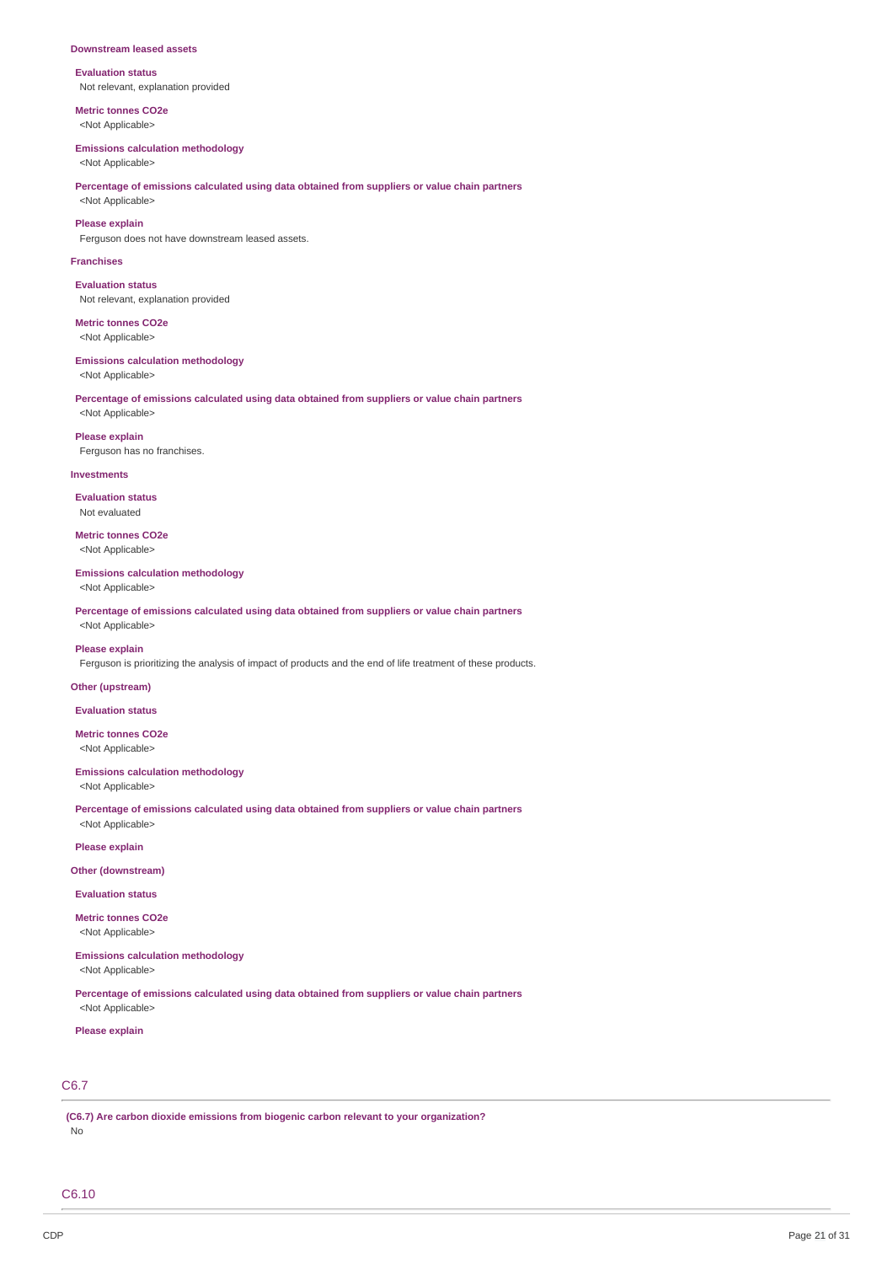#### **Downstream leased assets**

**Evaluation status** Not relevant, explanation provided

**Metric tonnes CO2e** <Not Applicable>

#### **Emissions calculation methodology**

<Not Applicable>

#### **Percentage of emissions calculated using data obtained from suppliers or value chain partners** <Not Applicable>

**Please explain**

Ferguson does not have downstream leased assets.

#### **Franchises**

**Evaluation status** Not relevant, explanation provided

**Metric tonnes CO2e** <Not Applicable>

#### **Emissions calculation methodology**

<Not Applicable>

### **Percentage of emissions calculated using data obtained from suppliers or value chain partners** <Not Applicable>

**Please explain** Ferguson has no franchises.

#### **Investments**

**Evaluation status** Not evaluated

**Metric tonnes CO2e** <Not Applicable>

#### **Emissions calculation methodology**

<Not Applicable>

**Percentage of emissions calculated using data obtained from suppliers or value chain partners** <Not Applicable>

### **Please explain**

Ferguson is prioritizing the analysis of impact of products and the end of life treatment of these products.

#### **Other (upstream)**

**Evaluation status**

**Metric tonnes CO2e** <Not Applicable>

#### **Emissions calculation methodology**

<Not Applicable>

**Percentage of emissions calculated using data obtained from suppliers or value chain partners** <Not Applicable>

**Please explain**

#### **Other (downstream)**

**Evaluation status**

**Metric tonnes CO2e** <Not Applicable>

#### **Emissions calculation methodology** <Not Applicable>

**Percentage of emissions calculated using data obtained from suppliers or value chain partners** <Not Applicable>

#### **Please explain**

# C6.7

**(C6.7) Are carbon dioxide emissions from biogenic carbon relevant to your organization?** No

C6.10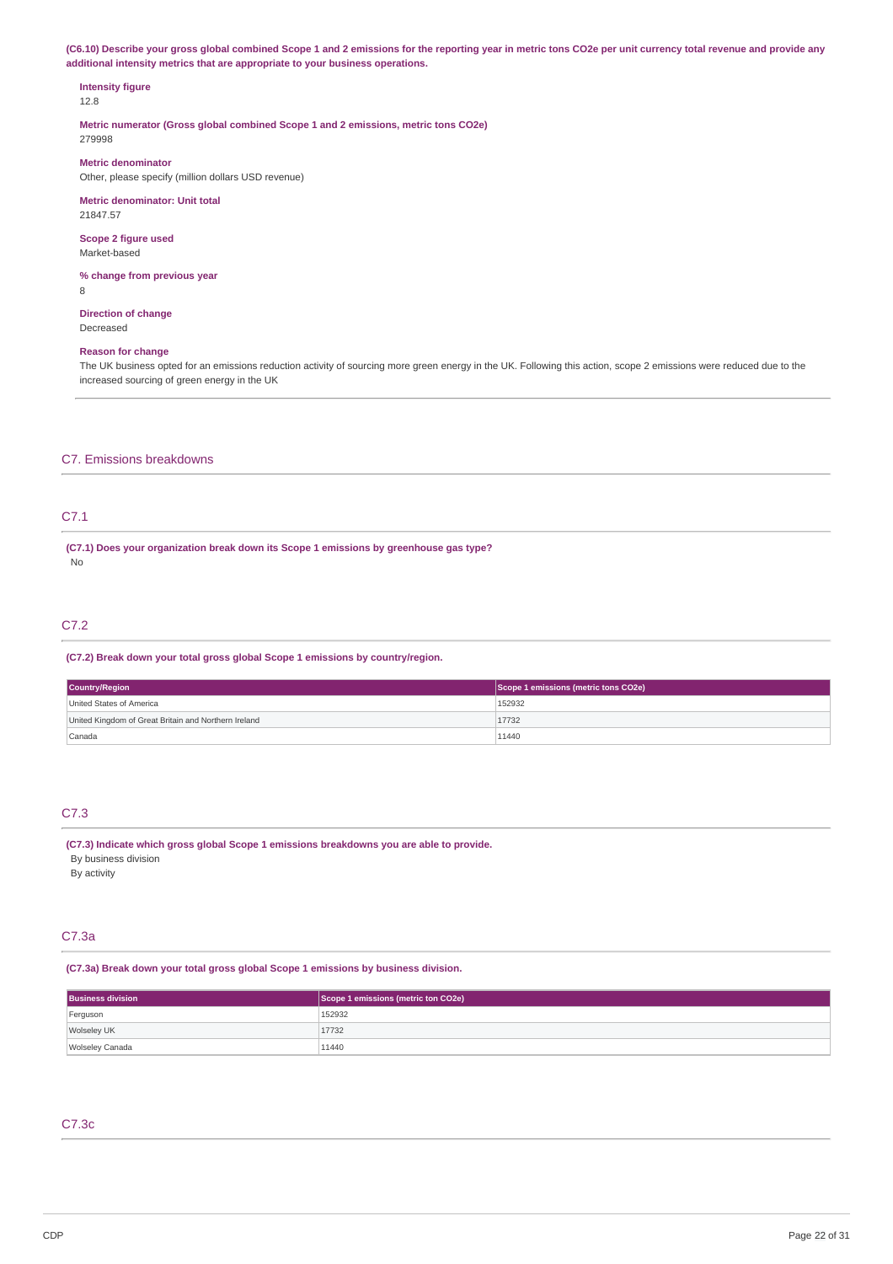(C6.10) Describe your gross global combined Scope 1 and 2 emissions for the reporting year in metric tons CO2e per unit currency total revenue and provide any **additional intensity metrics that are appropriate to your business operations.**

# **Intensity figure**

12.8

**Metric numerator (Gross global combined Scope 1 and 2 emissions, metric tons CO2e)** 279998

**Metric denominator**

Other, please specify (million dollars USD revenue)

**Metric denominator: Unit total** 21847.57

**Scope 2 figure used** Market-based

**% change from previous year** 8

**Direction of change** Decreased

# **Reason for change**

The UK business opted for an emissions reduction activity of sourcing more green energy in the UK. Following this action, scope 2 emissions were reduced due to the increased sourcing of green energy in the UK

# C7. Emissions breakdowns

# C7.1

**(C7.1) Does your organization break down its Scope 1 emissions by greenhouse gas type?** No

# C7.2

#### **(C7.2) Break down your total gross global Scope 1 emissions by country/region.**

| <b>Country/Region</b>                                | Scope 1 emissions (metric tons CO2e) |
|------------------------------------------------------|--------------------------------------|
| United States of America                             | 152932                               |
| United Kingdom of Great Britain and Northern Ireland | 17732                                |
| Canada                                               | 11440                                |

# C7.3

**(C7.3) Indicate which gross global Scope 1 emissions breakdowns you are able to provide.** By business division By activity

# C7.3a

#### **(C7.3a) Break down your total gross global Scope 1 emissions by business division.**

| <b>Business division</b> | Scope 1 emissions (metric ton CO2e) |
|--------------------------|-------------------------------------|
| Ferguson                 | 152932                              |
| Wolseley UK              | 17732                               |
| Wolseley Canada          | 11440                               |

# C7.3c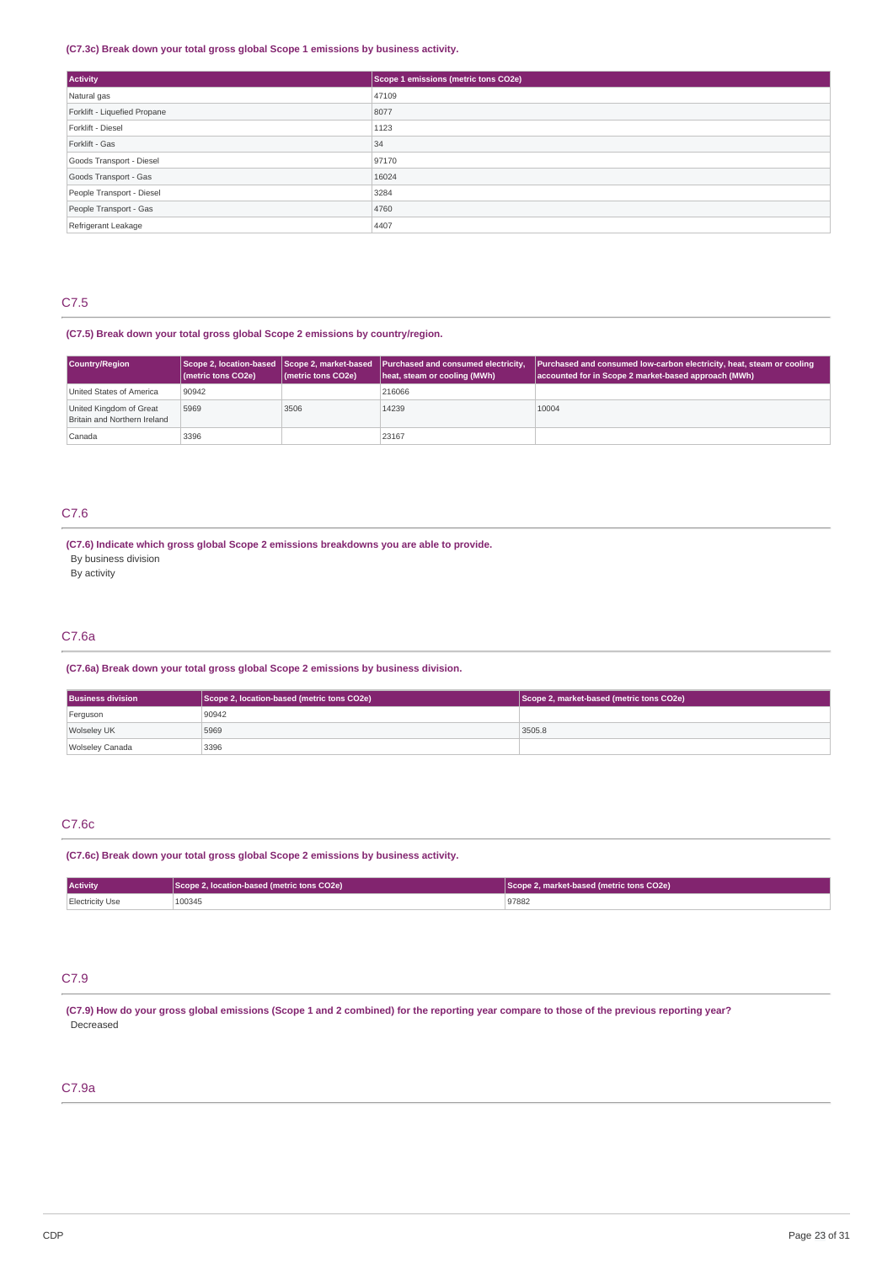### **(C7.3c) Break down your total gross global Scope 1 emissions by business activity.**

| Activity                     | Scope 1 emissions (metric tons CO2e) |
|------------------------------|--------------------------------------|
| Natural gas                  | 47109                                |
| Forklift - Liquefied Propane | 8077                                 |
| Forklift - Diesel            | 1123                                 |
| Forklift - Gas               | 34                                   |
| Goods Transport - Diesel     | 97170                                |
| Goods Transport - Gas        | 16024                                |
| People Transport - Diesel    | 3284                                 |
| People Transport - Gas       | 4760                                 |
| Refrigerant Leakage          | 4407                                 |

# C7.5

# **(C7.5) Break down your total gross global Scope 2 emissions by country/region.**

| Country/Region                                          | (metric tons CO2e) | (metric tons CO2e) | Scope 2, location-based Scope 2, market-based Purchased and consumed electricity,<br>heat, steam or cooling (MWh) | <b>Purchased and consumed low-carbon electricity, heat, steam or cooling</b><br>accounted for in Scope 2 market-based approach (MWh) |
|---------------------------------------------------------|--------------------|--------------------|-------------------------------------------------------------------------------------------------------------------|--------------------------------------------------------------------------------------------------------------------------------------|
| United States of America                                | 90942              |                    | 216066                                                                                                            |                                                                                                                                      |
| United Kingdom of Great<br>Britain and Northern Ireland | 5969               | 3506               | 14239                                                                                                             | 10004                                                                                                                                |
| Canada                                                  | 3396               |                    | 23167                                                                                                             |                                                                                                                                      |

# C7.6

# **(C7.6) Indicate which gross global Scope 2 emissions breakdowns you are able to provide.**

By business division

By activity

# C7.6a

# **(C7.6a) Break down your total gross global Scope 2 emissions by business division.**

| <b>Business division</b> | Scope 2, location-based (metric tons CO2e) | Scope 2, market-based (metric tons CO2e) |
|--------------------------|--------------------------------------------|------------------------------------------|
| Ferguson                 | 90942                                      |                                          |
| Wolseley UK              | 5969                                       | 3505.8                                   |
| Wolseley Canada          | 3396                                       |                                          |

# C7.6c

#### **(C7.6c) Break down your total gross global Scope 2 emissions by business activity.**

| <b>Activity</b> | Scope 2, location-based (metric tons CO2e) | Scope 2, market-based (metric tons CO2e) |
|-----------------|--------------------------------------------|------------------------------------------|
| Electricity Use | 100345                                     | 97882                                    |

# C7.9

(C7.9) How do your gross global emissions (Scope 1 and 2 combined) for the reporting year compare to those of the previous reporting year? Decreased

# C7.9a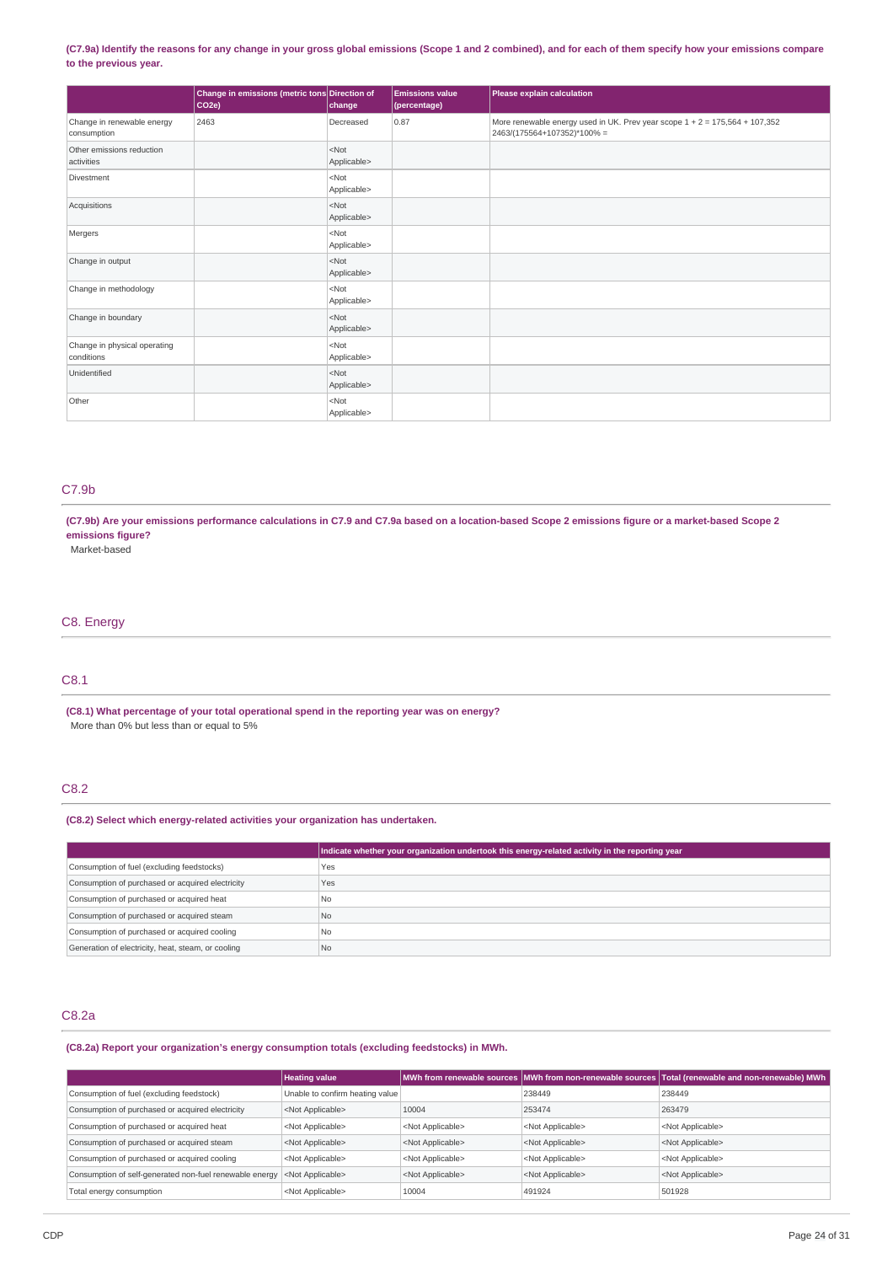### (C7.9a) Identify the reasons for any change in your gross global emissions (Scope 1 and 2 combined), and for each of them specify how your emissions compare **to the previous year.**

|                                            | Change in emissions (metric tons Direction of<br>CO <sub>2e</sub> ) | change                 | <b>Emissions value</b><br>(percentage) | Please explain calculation                                                                                   |
|--------------------------------------------|---------------------------------------------------------------------|------------------------|----------------------------------------|--------------------------------------------------------------------------------------------------------------|
| Change in renewable energy<br>consumption  | 2463                                                                | Decreased              | 0.87                                   | More renewable energy used in UK. Prev year scope $1 + 2 = 175,564 + 107,352$<br>2463/(175564+107352)*100% = |
| Other emissions reduction<br>activities    |                                                                     | $<$ Not<br>Applicable> |                                        |                                                                                                              |
| Divestment                                 |                                                                     | $<$ Not<br>Applicable> |                                        |                                                                                                              |
| Acquisitions                               |                                                                     | $<$ Not<br>Applicable> |                                        |                                                                                                              |
| Mergers                                    |                                                                     | $<$ Not<br>Applicable> |                                        |                                                                                                              |
| Change in output                           |                                                                     | $<$ Not<br>Applicable> |                                        |                                                                                                              |
| Change in methodology                      |                                                                     | $<$ Not<br>Applicable> |                                        |                                                                                                              |
| Change in boundary                         |                                                                     | $<$ Not<br>Applicable> |                                        |                                                                                                              |
| Change in physical operating<br>conditions |                                                                     | $<$ Not<br>Applicable> |                                        |                                                                                                              |
| Unidentified                               |                                                                     | $<$ Not<br>Applicable> |                                        |                                                                                                              |
| Other                                      |                                                                     | $<$ Not<br>Applicable> |                                        |                                                                                                              |

# C7.9b

(C7.9b) Are your emissions performance calculations in C7.9 and C7.9a based on a location-based Scope 2 emissions figure or a market-based Scope 2 **emissions figure?**

Market-based

# C8. Energy

# C8.1

**(C8.1) What percentage of your total operational spend in the reporting year was on energy?** More than 0% but less than or equal to 5%

# C8.2

### **(C8.2) Select which energy-related activities your organization has undertaken.**

|                                                    | Indicate whether your organization undertook this energy-related activity in the reporting year |
|----------------------------------------------------|-------------------------------------------------------------------------------------------------|
| Consumption of fuel (excluding feedstocks)         | Yes                                                                                             |
| Consumption of purchased or acquired electricity   | Yes                                                                                             |
| Consumption of purchased or acquired heat          | <b>No</b>                                                                                       |
| Consumption of purchased or acquired steam         | <b>No</b>                                                                                       |
| Consumption of purchased or acquired cooling       | <b>No</b>                                                                                       |
| Generation of electricity, heat, steam, or cooling | N <sub>0</sub>                                                                                  |

# C8.2a

**(C8.2a) Report your organization's energy consumption totals (excluding feedstocks) in MWh.**

|                                                         | <b>Heating value</b>            |                           |                           | MWh from renewable sources MWh from non-renewable sources Total (renewable and non-renewable) MWh |
|---------------------------------------------------------|---------------------------------|---------------------------|---------------------------|---------------------------------------------------------------------------------------------------|
| Consumption of fuel (excluding feedstock)               | Unable to confirm heating value |                           | 238449                    | 238449                                                                                            |
| Consumption of purchased or acquired electricity        | <not applicable=""></not>       | 10004                     | 253474                    | 263479                                                                                            |
| Consumption of purchased or acquired heat               | <not applicable=""></not>       | <not applicable=""></not> | <not applicable=""></not> | <not applicable=""></not>                                                                         |
| Consumption of purchased or acquired steam              | <not applicable=""></not>       | <not applicable=""></not> | <not applicable=""></not> | <not applicable=""></not>                                                                         |
| Consumption of purchased or acquired cooling            | <not applicable=""></not>       | <not applicable=""></not> | <not applicable=""></not> | <not applicable=""></not>                                                                         |
| Consumption of self-generated non-fuel renewable energy | <not applicable=""></not>       | <not applicable=""></not> | <not applicable=""></not> | <not applicable=""></not>                                                                         |
| Total energy consumption                                | <not applicable=""></not>       | 10004                     | 491924                    | 501928                                                                                            |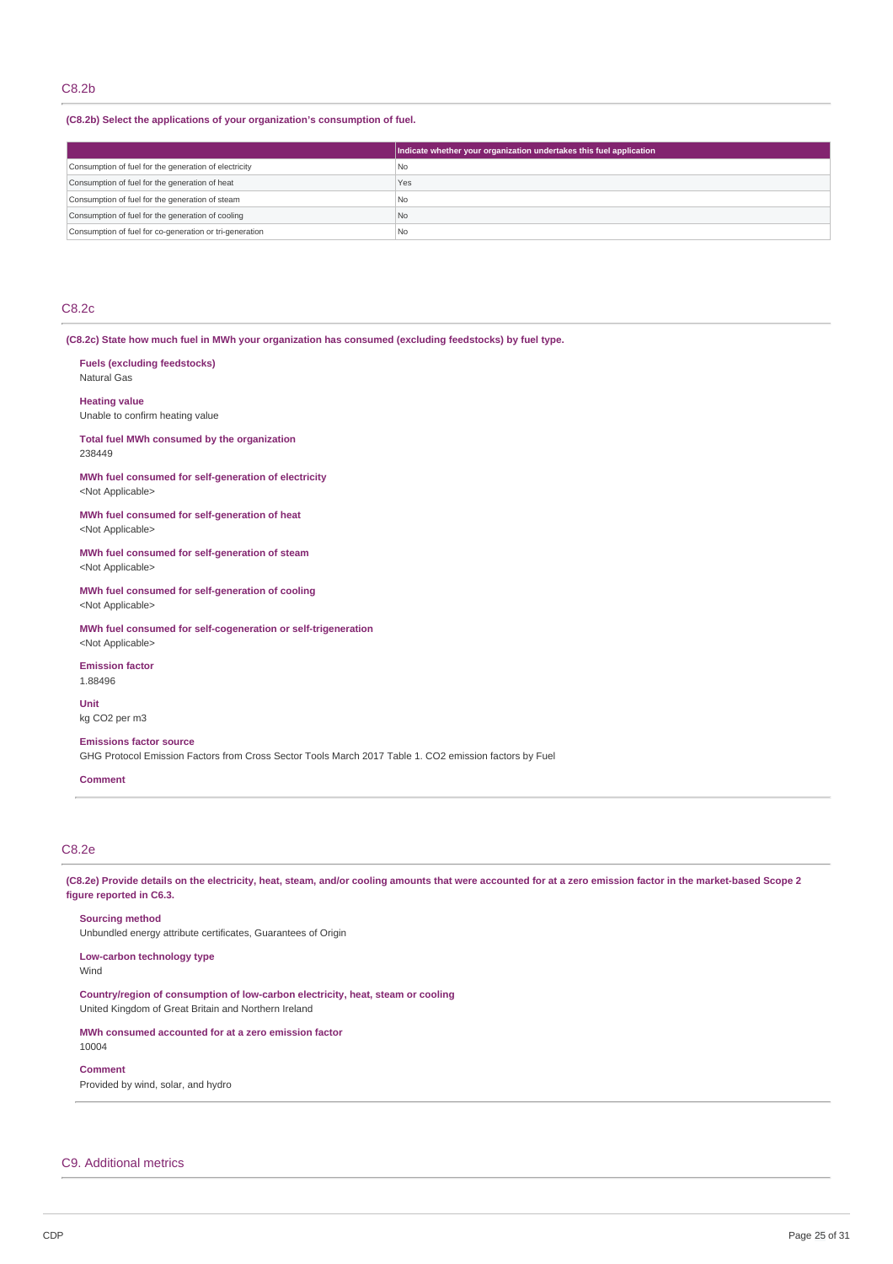# C8.2b

**(C8.2b) Select the applications of your organization's consumption of fuel.**

|                                                         | Indicate whether your organization undertakes this fuel application |
|---------------------------------------------------------|---------------------------------------------------------------------|
| Consumption of fuel for the generation of electricity   | l No                                                                |
| Consumption of fuel for the generation of heat          | Yes                                                                 |
| Consumption of fuel for the generation of steam         | l No                                                                |
| Consumption of fuel for the generation of cooling       | No                                                                  |
| Consumption of fuel for co-generation or tri-generation | <b>No</b>                                                           |

# C8.2c

**(C8.2c) State how much fuel in MWh your organization has consumed (excluding feedstocks) by fuel type.**

| <b>Fuels (excluding feedstocks)</b><br>Natural Gas                                                                                       |
|------------------------------------------------------------------------------------------------------------------------------------------|
| <b>Heating value</b><br>Unable to confirm heating value                                                                                  |
| Total fuel MWh consumed by the organization<br>238449                                                                                    |
| MWh fuel consumed for self-generation of electricity<br><not applicable=""></not>                                                        |
| MWh fuel consumed for self-generation of heat<br><not applicable=""></not>                                                               |
| MWh fuel consumed for self-generation of steam<br><not applicable=""></not>                                                              |
| MWh fuel consumed for self-generation of cooling<br><not applicable=""></not>                                                            |
| MWh fuel consumed for self-cogeneration or self-trigeneration<br><not applicable=""></not>                                               |
| <b>Emission factor</b><br>1.88496                                                                                                        |
| <b>Unit</b><br>kg CO <sub>2</sub> per m <sub>3</sub>                                                                                     |
| <b>Emissions factor source</b><br>GHG Protocol Emission Factors from Cross Sector Tools March 2017 Table 1. CO2 emission factors by Fuel |

# C8.2e

**Comment**

(C8.2e) Provide details on the electricity, heat, steam, and/or cooling amounts that were accounted for at a zero emission factor in the market-based Scope 2 **figure reported in C6.3.**

**Sourcing method** Unbundled energy attribute certificates, Guarantees of Origin

**Low-carbon technology type**

Wind

**Country/region of consumption of low-carbon electricity, heat, steam or cooling** United Kingdom of Great Britain and Northern Ireland

**MWh consumed accounted for at a zero emission factor** 10004

**Comment**

Provided by wind, solar, and hydro

## C9. Additional metrics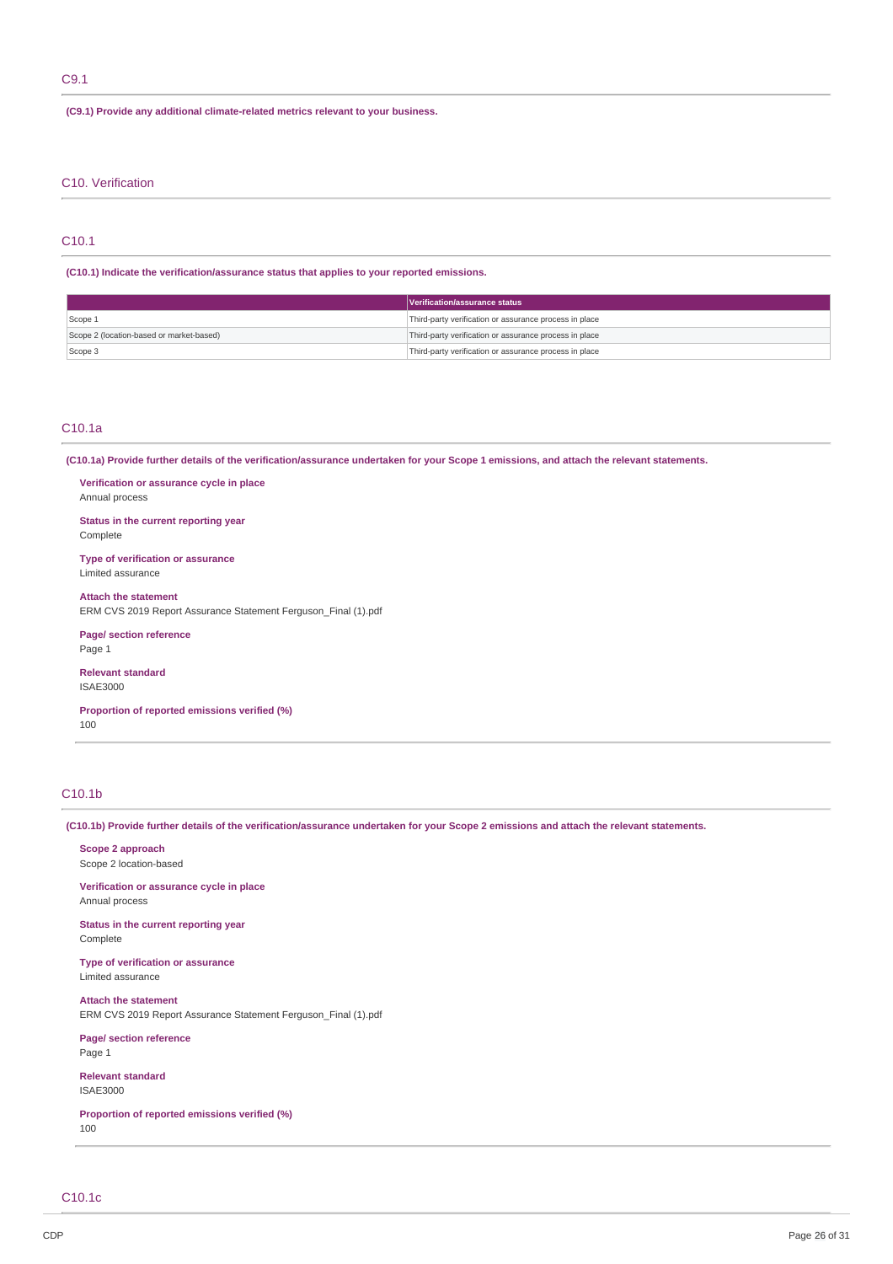# C9.1

**(C9.1) Provide any additional climate-related metrics relevant to your business.**

# C10. Verification

# C10.1

**(C10.1) Indicate the verification/assurance status that applies to your reported emissions.**

|                                          | Verification/assurance status                          |  |
|------------------------------------------|--------------------------------------------------------|--|
| Scope 1                                  | Third-party verification or assurance process in place |  |
| Scope 2 (location-based or market-based) | Third-party verification or assurance process in place |  |
| Scope 3                                  | Third-party verification or assurance process in place |  |

# C10.1a

(C10.1a) Provide further details of the verification/assurance undertaken for your Scope 1 emissions, and attach the relevant statements.

**Verification or assurance cycle in place** Annual process

**Status in the current reporting year** Complete

**Type of verification or assurance** Limited assurance

**Attach the statement** ERM CVS 2019 Report Assurance Statement Ferguson\_Final (1).pdf

**Page/ section reference** Page 1

**Relevant standard** ISAE3000

**Proportion of reported emissions verified (%)** 100

# C10.1b

(C10.1b) Provide further details of the verification/assurance undertaken for your Scope 2 emissions and attach the relevant statements.

**Scope 2 approach** Scope 2 location-based

**Verification or assurance cycle in place** Annual process

**Status in the current reporting year** Complete

**Type of verification or assurance** Limited assurance

**Attach the statement** ERM CVS 2019 Report Assurance Statement Ferguson\_Final (1).pdf

**Page/ section reference** Page 1

**Relevant standard** ISAE3000

**Proportion of reported emissions verified (%)** 100

C10.1c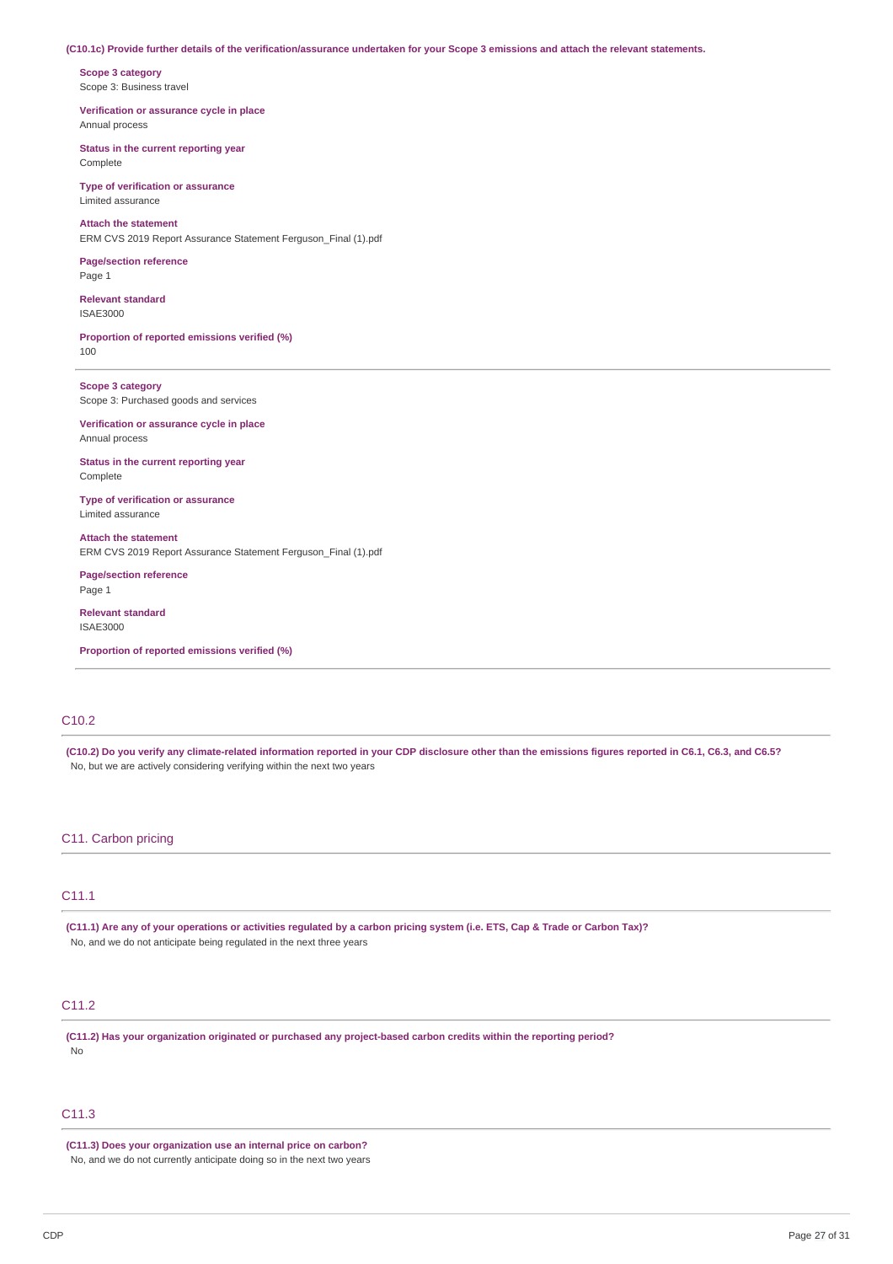#### (C10.1c) Provide further details of the verification/assurance undertaken for your Scope 3 emissions and attach the relevant statements.

**Scope 3 category** Scope 3: Business travel

**Verification or assurance cycle in place** Annual process

**Status in the current reporting year** Complete

**Type of verification or assurance** Limited assurance

**Attach the statement** ERM CVS 2019 Report Assurance Statement Ferguson\_Final (1).pdf

**Page/section reference** Page 1

**Relevant standard** ISAE3000

**Proportion of reported emissions verified (%)** 100

**Scope 3 category** Scope 3: Purchased goods and services

**Verification or assurance cycle in place** Annual process

**Status in the current reporting year** Complete

**Type of verification or assurance** Limited assurance

**Attach the statement** ERM CVS 2019 Report Assurance Statement Ferguson\_Final (1).pdf

**Page/section reference** Page 1

**Relevant standard** ISAE3000

**Proportion of reported emissions verified (%)**

# C10.2

(C10.2) Do you verify any climate-related information reported in your CDP disclosure other than the emissions figures reported in C6.1, C6.3, and C6.5? No, but we are actively considering verifying within the next two years

# C11. Carbon pricing

# C11.1

(C11.1) Are any of your operations or activities regulated by a carbon pricing system (i.e. ETS, Cap & Trade or Carbon Tax)? No, and we do not anticipate being regulated in the next three years

# C11.2

**(C11.2) Has your organization originated or purchased any project-based carbon credits within the reporting period?** No

# C<sub>11.3</sub>

**(C11.3) Does your organization use an internal price on carbon?** No, and we do not currently anticipate doing so in the next two years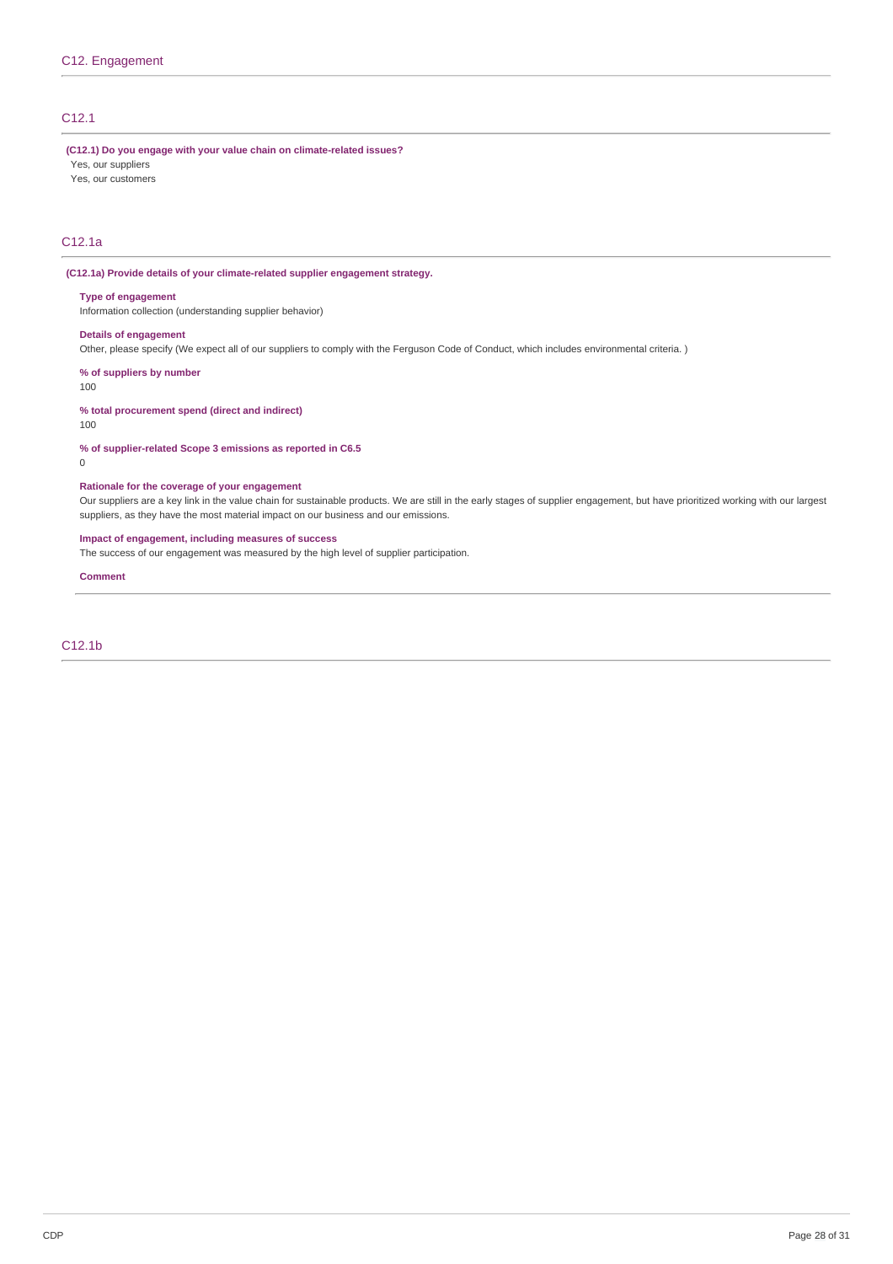# C12.1

**(C12.1) Do you engage with your value chain on climate-related issues?**

- Yes, our suppliers Yes, our customers
- C12.1a

#### **(C12.1a) Provide details of your climate-related supplier engagement strategy.**

#### **Type of engagement**

Information collection (understanding supplier behavior)

### **Details of engagement**

Other, please specify (We expect all of our suppliers to comply with the Ferguson Code of Conduct, which includes environmental criteria. )

**% of suppliers by number**

100

### **% total procurement spend (direct and indirect)**

100

#### **% of supplier-related Scope 3 emissions as reported in C6.5**

0

# **Rationale for the coverage of your engagement**

Our suppliers are a key link in the value chain for sustainable products. We are still in the early stages of supplier engagement, but have prioritized working with our largest suppliers, as they have the most material impact on our business and our emissions.

### **Impact of engagement, including measures of success**

The success of our engagement was measured by the high level of supplier participation.

**Comment**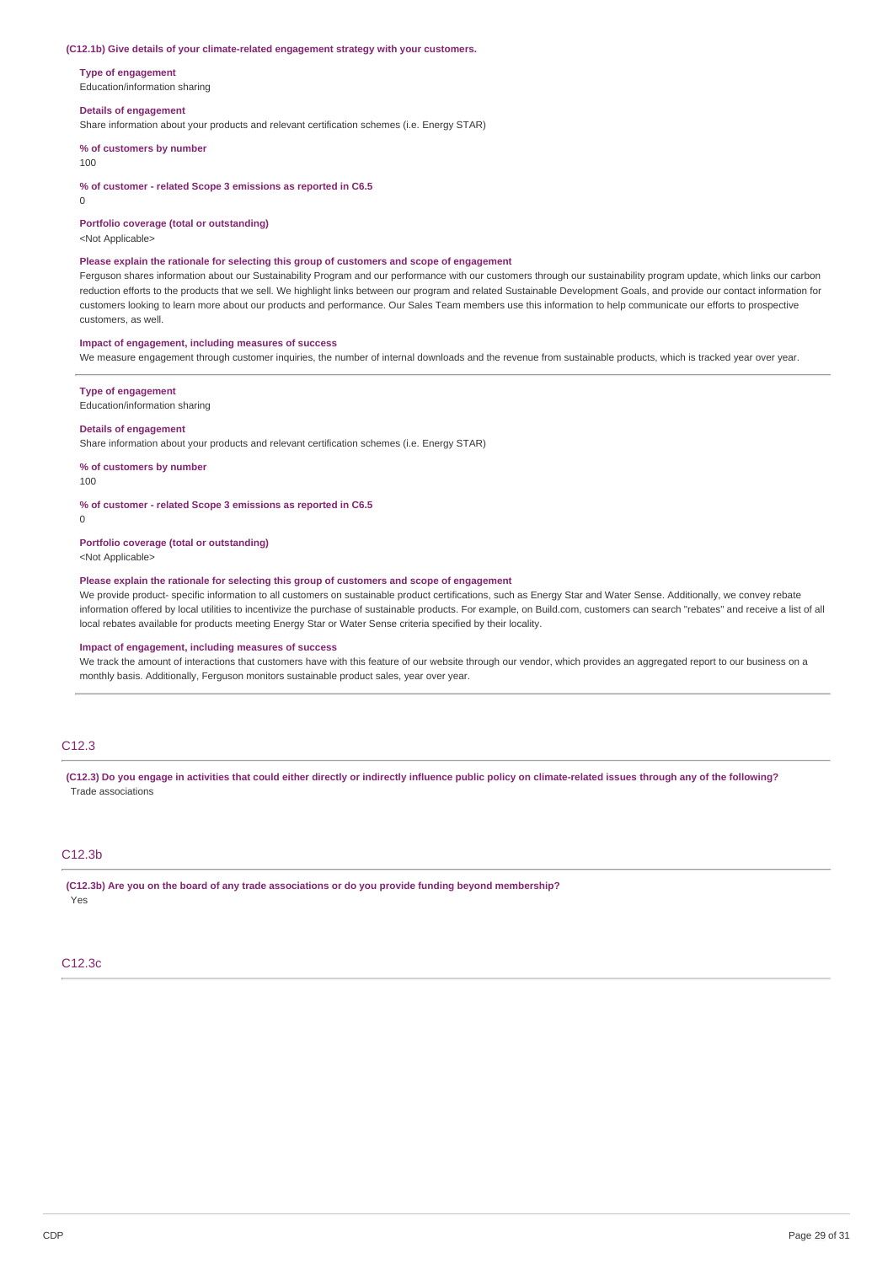#### **(C12.1b) Give details of your climate-related engagement strategy with your customers.**

**Type of engagement**

Education/information sharing

#### **Details of engagement**

Share information about your products and relevant certification schemes (i.e. Energy STAR)

**% of customers by number**

#### 100

**% of customer - related Scope 3 emissions as reported in C6.5**

 $\Omega$ 

**Portfolio coverage (total or outstanding)**

<Not Applicable>

#### **Please explain the rationale for selecting this group of customers and scope of engagement**

Ferguson shares information about our Sustainability Program and our performance with our customers through our sustainability program update, which links our carbon reduction efforts to the products that we sell. We highlight links between our program and related Sustainable Development Goals, and provide our contact information for customers looking to learn more about our products and performance. Our Sales Team members use this information to help communicate our efforts to prospective customers, as well.

#### **Impact of engagement, including measures of success**

We measure engagement through customer inquiries, the number of internal downloads and the revenue from sustainable products, which is tracked year over year.

#### **Type of engagement**

Education/information sharing

#### **Details of engagement**

Share information about your products and relevant certification schemes (i.e. Energy STAR)

**% of customers by number**

100

#### **% of customer - related Scope 3 emissions as reported in C6.5**

0

#### **Portfolio coverage (total or outstanding)**

<Not Applicable>

### **Please explain the rationale for selecting this group of customers and scope of engagement**

We provide product- specific information to all customers on sustainable product certifications, such as Energy Star and Water Sense. Additionally, we convey rebate information offered by local utilities to incentivize the purchase of sustainable products. For example, on Build.com, customers can search "rebates" and receive a list of all local rebates available for products meeting Energy Star or Water Sense criteria specified by their locality.

#### **Impact of engagement, including measures of success**

We track the amount of interactions that customers have with this feature of our website through our vendor, which provides an aggregated report to our business on a monthly basis. Additionally, Ferguson monitors sustainable product sales, year over year.

# C12.3

(C12.3) Do you engage in activities that could either directly or indirectly influence public policy on climate-related issues through any of the following? Trade associations

# C12.3b

**(C12.3b) Are you on the board of any trade associations or do you provide funding beyond membership?** Yes

#### C12.3c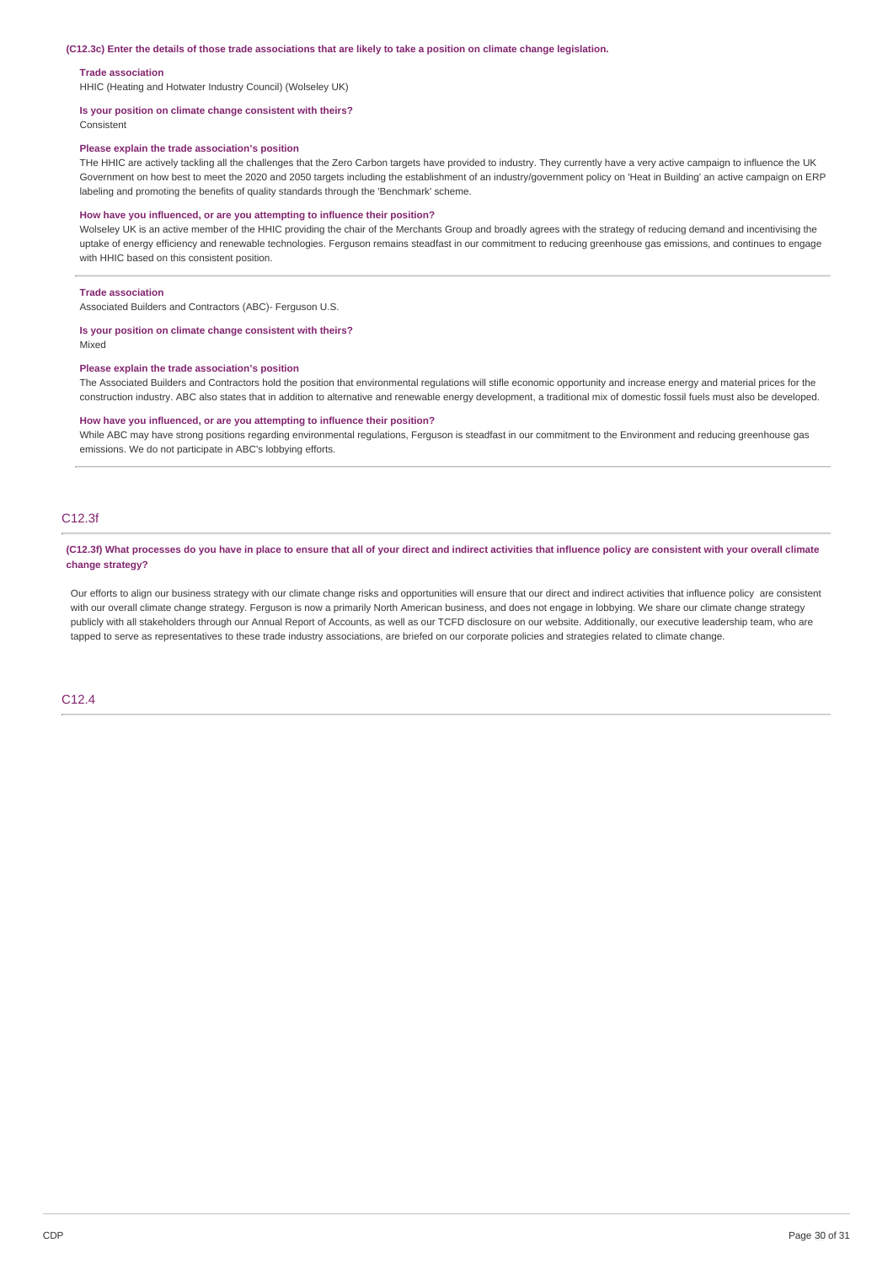#### (C12.3c) Enter the details of those trade associations that are likely to take a position on climate change legislation.

#### **Trade association**

HHIC (Heating and Hotwater Industry Council) (Wolseley UK)

#### **Is your position on climate change consistent with theirs?**

Consistent

#### **Please explain the trade association's position**

THe HHIC are actively tackling all the challenges that the Zero Carbon targets have provided to industry. They currently have a very active campaign to influence the UK Government on how best to meet the 2020 and 2050 targets including the establishment of an industry/government policy on 'Heat in Building' an active campaign on ERP labeling and promoting the benefits of quality standards through the 'Benchmark' scheme.

#### **How have you influenced, or are you attempting to influence their position?**

Wolseley UK is an active member of the HHIC providing the chair of the Merchants Group and broadly agrees with the strategy of reducing demand and incentivising the uptake of energy efficiency and renewable technologies. Ferguson remains steadfast in our commitment to reducing greenhouse gas emissions, and continues to engage with HHIC based on this consistent position.

#### **Trade association**

Associated Builders and Contractors (ABC)- Ferguson U.S.

# **Is your position on climate change consistent with theirs?**

Mixed

#### **Please explain the trade association's position**

The Associated Builders and Contractors hold the position that environmental regulations will stifle economic opportunity and increase energy and material prices for the construction industry. ABC also states that in addition to alternative and renewable energy development, a traditional mix of domestic fossil fuels must also be developed.

#### **How have you influenced, or are you attempting to influence their position?**

While ABC may have strong positions regarding environmental regulations, Ferguson is steadfast in our commitment to the Environment and reducing greenhouse gas emissions. We do not participate in ABC's lobbying efforts.

# C12.3f

#### (C12.3f) What processes do you have in place to ensure that all of your direct and indirect activities that influence policy are consistent with your overall climate **change strategy?**

Our efforts to align our business strategy with our climate change risks and opportunities will ensure that our direct and indirect activities that influence policy are consistent with our overall climate change strategy. Ferguson is now a primarily North American business, and does not engage in lobbying. We share our climate change strategy publicly with all stakeholders through our Annual Report of Accounts, as well as our TCFD disclosure on our website. Additionally, our executive leadership team, who are tapped to serve as representatives to these trade industry associations, are briefed on our corporate policies and strategies related to climate change.

#### C12.4